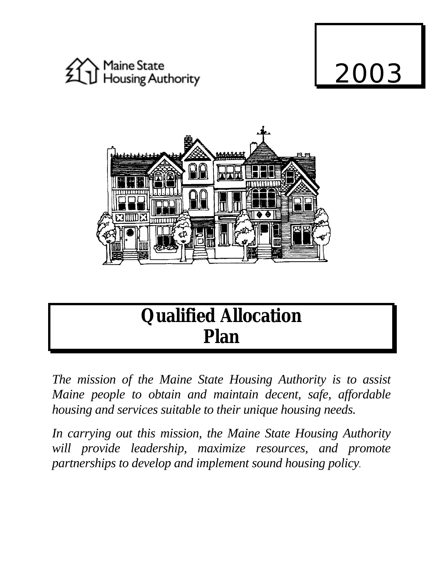





# **Qualified Allocation Plan**

*The mission of the Maine State Housing Authority is to assist Maine people to obtain and maintain decent, safe, affordable housing and services suitable to their unique housing needs.*

*In carrying out this mission, the Maine State Housing Authority will provide leadership, maximize resources, and promote partnerships to develop and implement sound housing policy.*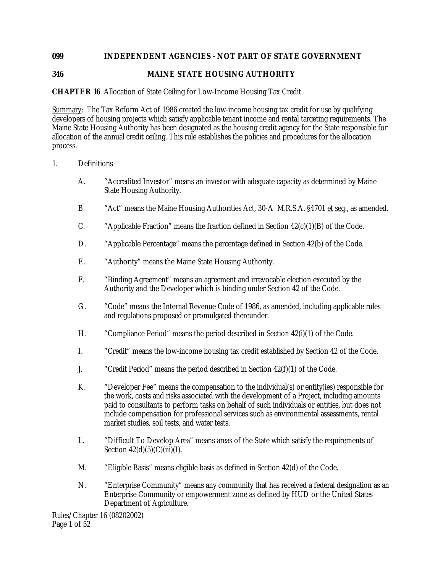# **099 INDEPENDENT AGENCIES - NOT PART OF STATE GOVERNMENT**

# **346 MAINE STATE HOUSING AUTHORITY**

# **CHAPTER 16** Allocation of State Ceiling for Low-Income Housing Tax Credit

Summary: The Tax Reform Act of 1986 created the low-income housing tax credit for use by qualifying developers of housing projects which satisfy applicable tenant income and rental targeting requirements. The Maine State Housing Authority has been designated as the housing credit agency for the State responsible for allocation of the annual credit ceiling. This rule establishes the policies and procedures for the allocation process.

#### 1. Definitions

- A. "Accredited Investor" means an investor with adequate capacity as determined by Maine State Housing Authority.
- B. "Act" means the Maine Housing Authorities Act, 30-A M.R.S.A. §4701 et seq., as amended.
- C. "Applicable Fraction" means the fraction defined in Section 42(c)(1)(B) of the Code.
- D. "Applicable Percentage" means the percentage defined in Section 42(b) of the Code.
- E. "Authority" means the Maine State Housing Authority.
- F. "Binding Agreement" means an agreement and irrevocable election executed by the Authority and the Developer which is binding under Section 42 of the Code.
- G. "Code" means the Internal Revenue Code of 1986, as amended, including applicable rules and regulations proposed or promulgated thereunder.
- H. "Compliance Period" means the period described in Section 42(i)(1) of the Code.
- I. "Credit" means the low-income housing tax credit established by Section 42 of the Code.
- J. "Credit Period" means the period described in Section 42(f)(1) of the Code.
- K. "Developer Fee" means the compensation to the individual(s) or entity(ies) responsible for the work, costs and risks associated with the development of a Project, including amounts paid to consultants to perform tasks on behalf of such individuals or entities, but does not include compensation for professional services such as environmental assessments, rental market studies, soil tests, and water tests.
- L. "Difficult To Develop Area" means areas of the State which satisfy the requirements of Section  $42(d)(5)(C)(iii)(I)$ .
- M. "Eligible Basis" means eligible basis as defined in Section 42(d) of the Code.
- N. "Enterprise Community" means any community that has received a federal designation as an Enterprise Community or empowerment zone as defined by HUD or the United States Department of Agriculture.

Rules/Chapter 16 (08202002) Page 1 of 52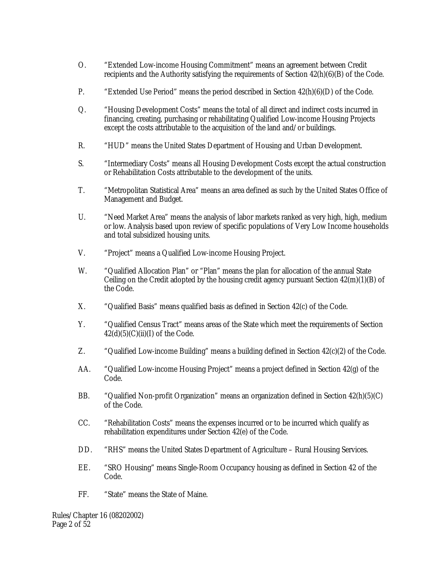- O. "Extended Low-income Housing Commitment" means an agreement between Credit recipients and the Authority satisfying the requirements of Section  $42(h)(6)(B)$  of the Code.
- P. "Extended Use Period" means the period described in Section 42(h)(6)(D) of the Code.
- Q. "Housing Development Costs" means the total of all direct and indirect costs incurred in financing, creating, purchasing or rehabilitating Qualified Low-income Housing Projects except the costs attributable to the acquisition of the land and/or buildings.
- R. "HUD" means the United States Department of Housing and Urban Development.
- S. "Intermediary Costs" means all Housing Development Costs except the actual construction or Rehabilitation Costs attributable to the development of the units.
- T. "Metropolitan Statistical Area" means an area defined as such by the United States Office of Management and Budget.
- U. "Need Market Area" means the analysis of labor markets ranked as very high, high, medium or low. Analysis based upon review of specific populations of Very Low Income households and total subsidized housing units.
- V. "Project" means a Qualified Low-income Housing Project.
- W. "Qualified Allocation Plan" or "Plan" means the plan for allocation of the annual State Ceiling on the Credit adopted by the housing credit agency pursuant Section  $42(m)(1)(B)$  of the Code.
- X. "Qualified Basis" means qualified basis as defined in Section 42(c) of the Code.
- Y. "Qualified Census Tract" means areas of the State which meet the requirements of Section  $42(d)(5)(C)(ii)(I)$  of the Code.
- Z. "Qualified Low-income Building" means a building defined in Section 42(c)(2) of the Code.
- AA. "Qualified Low-income Housing Project" means a project defined in Section 42(g) of the Code.
- BB. "Qualified Non-profit Organization" means an organization defined in Section 42(h)(5)(C) of the Code.
- CC. "Rehabilitation Costs" means the expenses incurred or to be incurred which qualify as rehabilitation expenditures under Section 42(e) of the Code.
- DD. "RHS" means the United States Department of Agriculture Rural Housing Services.
- EE. "SRO Housing" means Single-Room Occupancy housing as defined in Section 42 of the Code.
- FF. "State" means the State of Maine.

Rules/Chapter 16 (08202002) Page 2 of 52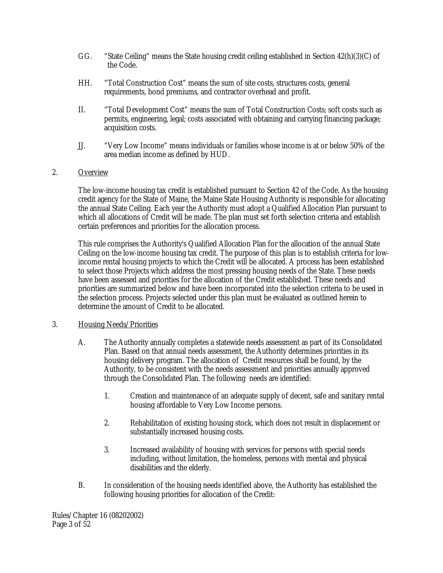- GG. "State Ceiling" means the State housing credit ceiling established in Section 42(h)(3)(C) of the Code.
- HH. "Total Construction Cost" means the sum of site costs, structures costs, general requirements, bond premiums, and contractor overhead and profit.
- II. "Total Development Cost" means the sum of Total Construction Costs; soft costs such as permits, engineering, legal; costs associated with obtaining and carrying financing package; acquisition costs.
- JJ. "Very Low Income" means individuals or families whose income is at or below 50% of the area median income as defined by HUD.

# 2. Overview

The low-income housing tax credit is established pursuant to Section 42 of the Code. As the housing credit agency for the State of Maine, the Maine State Housing Authority is responsible for allocating the annual State Ceiling. Each year the Authority must adopt a Qualified Allocation Plan pursuant to which all allocations of Credit will be made. The plan must set forth selection criteria and establish certain preferences and priorities for the allocation process.

This rule comprises the Authority's Qualified Allocation Plan for the allocation of the annual State Ceiling on the low-income housing tax credit. The purpose of this plan is to establish criteria for lowincome rental housing projects to which the Credit will be allocated. A process has been established to select those Projects which address the most pressing housing needs of the State. These needs have been assessed and priorities for the allocation of the Credit established. These needs and priorities are summarized below and have been incorporated into the selection criteria to be used in the selection process. Projects selected under this plan must be evaluated as outlined herein to determine the amount of Credit to be allocated.

# 3. Housing Needs/Priorities

- A. The Authority annually completes a statewide needs assessment as part of its Consolidated Plan. Based on that annual needs assessment, the Authority determines priorities in its housing delivery program. The allocation of Credit resources shall be found, by the Authority, to be consistent with the needs assessment and priorities annually approved through the Consolidated Plan. The following needs are identified:
	- 1. Creation and maintenance of an adequate supply of decent, safe and sanitary rental housing affordable to Very Low Income persons.
	- 2. Rehabilitation of existing housing stock, which does not result in displacement or substantially increased housing costs.
	- 3. Increased availability of housing with services for persons with special needs including, without limitation, the homeless, persons with mental and physical disabilities and the elderly.
- B. In consideration of the housing needs identified above, the Authority has established the following housing priorities for allocation of the Credit:

Rules/Chapter 16 (08202002) Page 3 of 52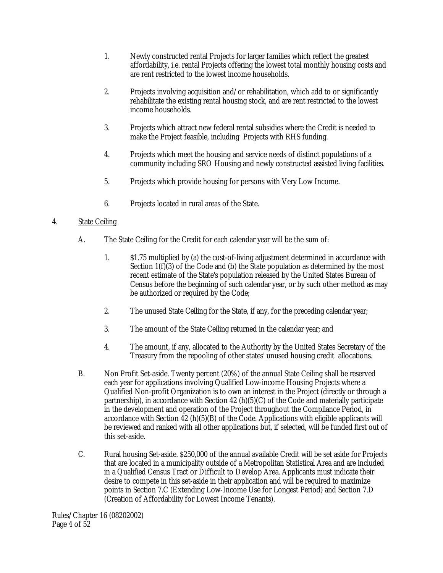- 1. Newly constructed rental Projects for larger families which reflect the greatest affordability, i.e. rental Projects offering the lowest total monthly housing costs and are rent restricted to the lowest income households.
- 2. Projects involving acquisition and/or rehabilitation, which add to or significantly rehabilitate the existing rental housing stock, and are rent restricted to the lowest income households.
- 3. Projects which attract new federal rental subsidies where the Credit is needed to make the Project feasible, including Projects with RHS funding.
- 4. Projects which meet the housing and service needs of distinct populations of a community including SRO Housing and newly constructed assisted living facilities.
- 5. Projects which provide housing for persons with Very Low Income.
- 6. Projects located in rural areas of the State.

# 4. State Ceiling

- A. The State Ceiling for the Credit for each calendar year will be the sum of:
	- 1. \$1.75 multiplied by (a) the cost-of-living adjustment determined in accordance with Section  $1(f)(3)$  of the Code and (b) the State population as determined by the most recent estimate of the State's population released by the United States Bureau of Census before the beginning of such calendar year, or by such other method as may be authorized or required by the Code;
	- 2. The unused State Ceiling for the State, if any, for the preceding calendar year;
	- 3. The amount of the State Ceiling returned in the calendar year; and
	- 4. The amount, if any, allocated to the Authority by the United States Secretary of the Treasury from the repooling of other states' unused housing credit allocations.
- B. Non Profit Set-aside. Twenty percent (20%) of the annual State Ceiling shall be reserved each year for applications involving Qualified Low-income Housing Projects where a Qualified Non-profit Organization is to own an interest in the Project (directly or through a partnership), in accordance with Section 42 (h)(5)(C) of the Code and materially participate in the development and operation of the Project throughout the Compliance Period, in accordance with Section 42  $(h)(5)(B)$  of the Code. Applications with eligible applicants will be reviewed and ranked with all other applications but, if selected, will be funded first out of this set-aside.
- C. Rural housing Set-aside. \$250,000 of the annual available Credit will be set aside for Projects that are located in a municipality outside of a Metropolitan Statistical Area and are included in a Qualified Census Tract or Difficult to Develop Area. Applicants must indicate their desire to compete in this set-aside in their application and will be required to maximize points in Section 7.C (Extending Low-Income Use for Longest Period) and Section 7.D (Creation of Affordability for Lowest Income Tenants).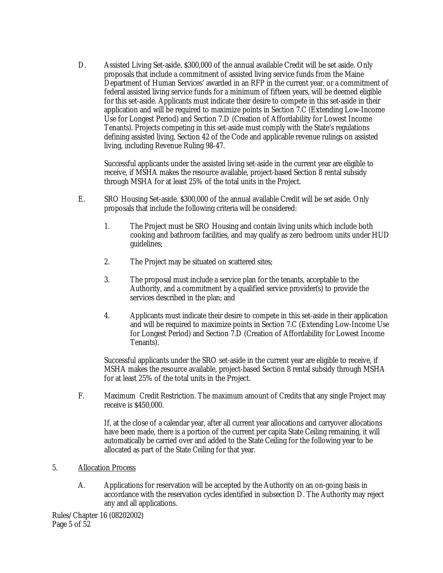D. Assisted Living Set-aside. \$300,000 of the annual available Credit will be set aside. Only proposals that include a commitment of assisted living service funds from the Maine Department of Human Services' awarded in an RFP in the current year, or a commitment of federal assisted living service funds for a minimum of fifteen years, will be deemed eligible for this set-aside. Applicants must indicate their desire to compete in this set-aside in their application and will be required to maximize points in Section 7.C (Extending Low-Income Use for Longest Period) and Section 7.D (Creation of Affordability for Lowest Income Tenants). Projects competing in this set-aside must comply with the State's regulations defining assisted living, Section 42 of the Code and applicable revenue rulings on assisted living, including Revenue Ruling 98-47.

Successful applicants under the assisted living set-aside in the current year are eligible to receive, if MSHA makes the resource available, project-based Section 8 rental subsidy through MSHA for at least 25% of the total units in the Project.

- E. SRO Housing Set-aside. \$300,000 of the annual available Credit will be set aside. Only proposals that include the following criteria will be considered:
	- 1. The Project must be SRO Housing and contain living units which include both cooking and bathroom facilities, and may qualify as zero bedroom units under HUD guidelines;
	- 2. The Project may be situated on scattered sites;
	- 3. The proposal must include a service plan for the tenants, acceptable to the Authority, and a commitment by a qualified service provider(s) to provide the services described in the plan; and
	- 4. Applicants must indicate their desire to compete in this set-aside in their application and will be required to maximize points in Section 7.C (Extending Low-Income Use for Longest Period) and Section 7.D (Creation of Affordability for Lowest Income Tenants).

Successful applicants under the SRO set-aside in the current year are eligible to receive, if MSHA makes the resource available, project-based Section 8 rental subsidy through MSHA for at least 25% of the total units in the Project.

F. Maximum Credit Restriction. The maximum amount of Credits that any single Project may receive is \$450,000.

If, at the close of a calendar year, after all current year allocations and carryover allocations have been made, there is a portion of the current per capita State Ceiling remaining, it will automatically be carried over and added to the State Ceiling for the following year to be allocated as part of the State Ceiling for that year.

#### 5. Allocation Process

A. Applications for reservation will be accepted by the Authority on an on-going basis in accordance with the reservation cycles identified in subsection D. The Authority may reject any and all applications.

Rules/Chapter 16 (08202002) Page 5 of 52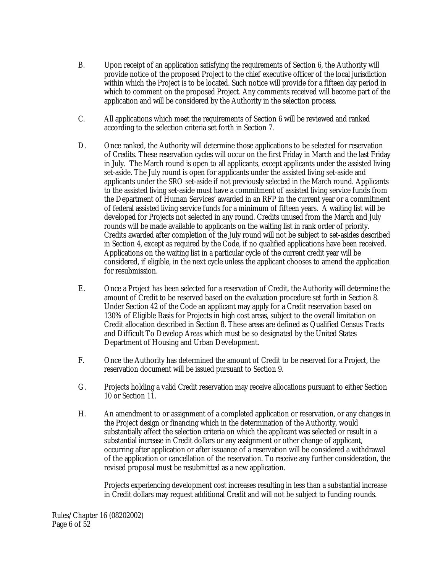- B. Upon receipt of an application satisfying the requirements of Section 6, the Authority will provide notice of the proposed Project to the chief executive officer of the local jurisdiction within which the Project is to be located. Such notice will provide for a fifteen day period in which to comment on the proposed Project. Any comments received will become part of the application and will be considered by the Authority in the selection process.
- C. All applications which meet the requirements of Section 6 will be reviewed and ranked according to the selection criteria set forth in Section 7.
- D. Once ranked, the Authority will determine those applications to be selected for reservation of Credits. These reservation cycles will occur on the first Friday in March and the last Friday in July. The March round is open to all applicants, except applicants under the assisted living set-aside. The July round is open for applicants under the assisted living set-aside and applicants under the SRO set-aside if not previously selected in the March round. Applicants to the assisted living set-aside must have a commitment of assisted living service funds from the Department of Human Services' awarded in an RFP in the current year or a commitment of federal assisted living service funds for a minimum of fifteen years. A waiting list will be developed for Projects not selected in any round. Credits unused from the March and July rounds will be made available to applicants on the waiting list in rank order of priority. Credits awarded after completion of the July round will not be subject to set-asides described in Section 4, except as required by the Code, if no qualified applications have been received. Applications on the waiting list in a particular cycle of the current credit year will be considered, if eligible, in the next cycle unless the applicant chooses to amend the application for resubmission.
- E. Once a Project has been selected for a reservation of Credit, the Authority will determine the amount of Credit to be reserved based on the evaluation procedure set forth in Section 8. Under Section 42 of the Code an applicant may apply for a Credit reservation based on 130% of Eligible Basis for Projects in high cost areas, subject to the overall limitation on Credit allocation described in Section 8. These areas are defined as Qualified Census Tracts and Difficult To Develop Areas which must be so designated by the United States Department of Housing and Urban Development.
- F. Once the Authority has determined the amount of Credit to be reserved for a Project, the reservation document will be issued pursuant to Section 9.
- G. Projects holding a valid Credit reservation may receive allocations pursuant to either Section 10 or Section 11.
- H. An amendment to or assignment of a completed application or reservation, or any changes in the Project design or financing which in the determination of the Authority, would substantially affect the selection criteria on which the applicant was selected or result in a substantial increase in Credit dollars or any assignment or other change of applicant, occurring after application or after issuance of a reservation will be considered a withdrawal of the application or cancellation of the reservation. To receive any further consideration, the revised proposal must be resubmitted as a new application.

Projects experiencing development cost increases resulting in less than a substantial increase in Credit dollars may request additional Credit and will not be subject to funding rounds.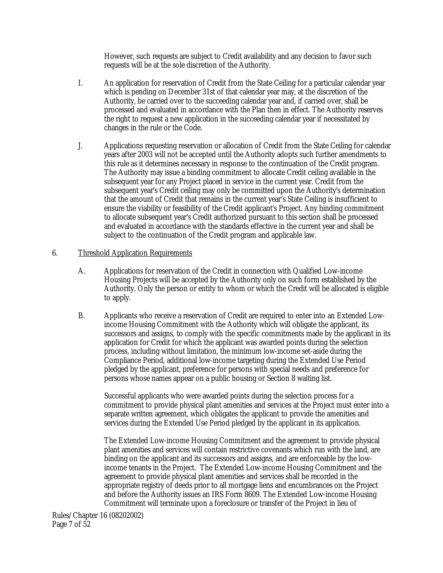However, such requests are subject to Credit availability and any decision to favor such requests will be at the sole discretion of the Authority.

- I. An application for reservation of Credit from the State Ceiling for a particular calendar year which is pending on December 31st of that calendar year may, at the discretion of the Authority, be carried over to the succeeding calendar year and, if carried over, shall be processed and evaluated in accordance with the Plan then in effect. The Authority reserves the right to request a new application in the succeeding calendar year if necessitated by changes in the rule or the Code.
- J. Applications requesting reservation or allocation of Credit from the State Ceiling for calendar years after 2003 will not be accepted until the Authority adopts such further amendments to this rule as it determines necessary in response to the continuation of the Credit program. The Authority may issue a binding commitment to allocate Credit ceiling available in the subsequent year for any Project placed in service in the current year. Credit from the subsequent year's Credit ceiling may only be committed upon the Authority's determination that the amount of Credit that remains in the current year's State Ceiling is insufficient to ensure the viability or feasibility of the Credit applicant's Project. Any binding commitment to allocate subsequent year's Credit authorized pursuant to this section shall be processed and evaluated in accordance with the standards effective in the current year and shall be subject to the continuation of the Credit program and applicable law.

#### 6. Threshold Application Requirements

- A. Applications for reservation of the Credit in connection with Qualified Low-income Housing Projects will be accepted by the Authority only on such form established by the Authority. Only the person or entity to whom or which the Credit will be allocated is eligible to apply.
- B. Applicants who receive a reservation of Credit are required to enter into an Extended Lowincome Housing Commitment with the Authority which will obligate the applicant, its successors and assigns, to comply with the specific commitments made by the applicant in its application for Credit for which the applicant was awarded points during the selection process, including without limitation, the minimum low-income set-aside during the Compliance Period, additional low-income targeting during the Extended Use Period pledged by the applicant, preference for persons with special needs and preference for persons whose names appear on a public housing or Section 8 waiting list.

Successful applicants who were awarded points during the selection process for a commitment to provide physical plant amenities and services at the Project must enter into a separate written agreement, which obligates the applicant to provide the amenities and services during the Extended Use Period pledged by the applicant in its application.

The Extended Low-income Housing Commitment and the agreement to provide physical plant amenities and services will contain restrictive covenants which run with the land, are binding on the applicant and its successors and assigns, and are enforceable by the lowincome tenants in the Project. The Extended Low-income Housing Commitment and the agreement to provide physical plant amenities and services shall be recorded in the appropriate registry of deeds prior to all mortgage liens and encumbrances on the Project and before the Authority issues an IRS Form 8609. The Extended Low-income Housing Commitment will terminate upon a foreclosure or transfer of the Project in lieu of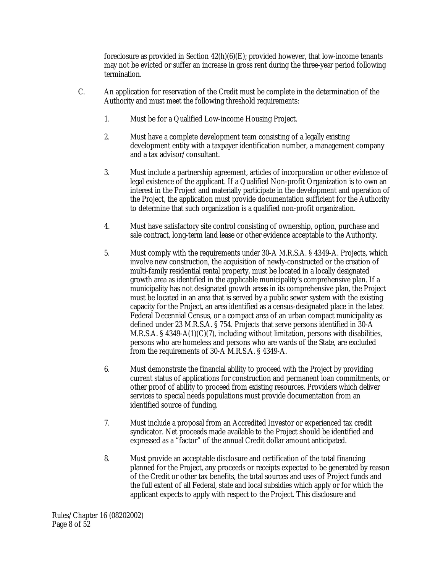foreclosure as provided in Section  $42(h)(6)(E)$ ; provided however, that low-income tenants may not be evicted or suffer an increase in gross rent during the three-year period following termination.

- C. An application for reservation of the Credit must be complete in the determination of the Authority and must meet the following threshold requirements:
	- 1. Must be for a Qualified Low-income Housing Project.
	- 2. Must have a complete development team consisting of a legally existing development entity with a taxpayer identification number, a management company and a tax advisor/consultant.
	- 3. Must include a partnership agreement, articles of incorporation or other evidence of legal existence of the applicant. If a Qualified Non-profit Organization is to own an interest in the Project and materially participate in the development and operation of the Project, the application must provide documentation sufficient for the Authority to determine that such organization is a qualified non-profit organization.
	- 4. Must have satisfactory site control consisting of ownership, option, purchase and sale contract, long-term land lease or other evidence acceptable to the Authority.
	- 5. Must comply with the requirements under 30-A M.R.S.A. § 4349-A. Projects, which involve new construction, the acquisition of newly-constructed or the creation of multi-family residential rental property, must be located in a locally designated growth area as identified in the applicable municipality's comprehensive plan. If a municipality has not designated growth areas in its comprehensive plan, the Project must be located in an area that is served by a public sewer system with the existing capacity for the Project, an area identified as a census-designated place in the latest Federal Decennial Census, or a compact area of an urban compact municipality as defined under 23 M.R.S.A. § 754. Projects that serve persons identified in 30-A M.R.S.A. § 4349-A(1)(C)(7), including without limitation, persons with disabilities, persons who are homeless and persons who are wards of the State, are excluded from the requirements of 30-A M.R.S.A. § 4349-A.
	- 6. Must demonstrate the financial ability to proceed with the Project by providing current status of applications for construction and permanent loan commitments, or other proof of ability to proceed from existing resources. Providers which deliver services to special needs populations must provide documentation from an identified source of funding.
	- 7. Must include a proposal from an Accredited Investor or experienced tax credit syndicator. Net proceeds made available to the Project should be identified and expressed as a "factor" of the annual Credit dollar amount anticipated.
	- 8. Must provide an acceptable disclosure and certification of the total financing planned for the Project, any proceeds or receipts expected to be generated by reason of the Credit or other tax benefits, the total sources and uses of Project funds and the full extent of all Federal, state and local subsidies which apply or for which the applicant expects to apply with respect to the Project. This disclosure and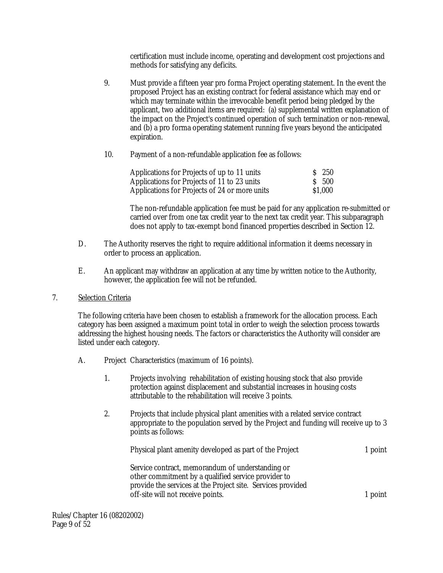certification must include income, operating and development cost projections and methods for satisfying any deficits.

- 9. Must provide a fifteen year pro forma Project operating statement. In the event the proposed Project has an existing contract for federal assistance which may end or which may terminate within the irrevocable benefit period being pledged by the applicant, two additional items are required: (a) supplemental written explanation of the impact on the Project's continued operation of such termination or non-renewal, and (b) a pro forma operating statement running five years beyond the anticipated expiration.
- 10. Payment of a non-refundable application fee as follows:

| Applications for Projects of up to 11 units   | S 250   |
|-----------------------------------------------|---------|
| Applications for Projects of 11 to 23 units   | S 500   |
| Applications for Projects of 24 or more units | \$1,000 |

The non-refundable application fee must be paid for any application re-submitted or carried over from one tax credit year to the next tax credit year. This subparagraph does not apply to tax-exempt bond financed properties described in Section 12.

- D. The Authority reserves the right to require additional information it deems necessary in order to process an application.
- E. An applicant may withdraw an application at any time by written notice to the Authority, however, the application fee will not be refunded.
- 7. Selection Criteria

The following criteria have been chosen to establish a framework for the allocation process. Each category has been assigned a maximum point total in order to weigh the selection process towards addressing the highest housing needs. The factors or characteristics the Authority will consider are listed under each category.

- A. Project Characteristics (maximum of 16 points).
	- 1. Projects involving rehabilitation of existing housing stock that also provide protection against displacement and substantial increases in housing costs attributable to the rehabilitation will receive 3 points.
	- 2. Projects that include physical plant amenities with a related service contract appropriate to the population served by the Project and funding will receive up to 3 points as follows:

| Physical plant amenity developed as part of the Project     | 1 point |
|-------------------------------------------------------------|---------|
| Service contract, memorandum of understanding or            |         |
| other commitment by a qualified service provider to         |         |
| provide the services at the Project site. Services provided |         |
| off-site will not receive points.                           | 1 point |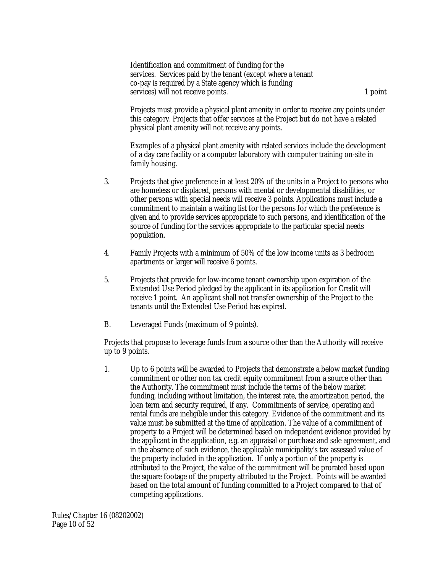Identification and commitment of funding for the services. Services paid by the tenant (except where a tenant co-pay is required by a State agency which is funding services) will not receive points. 1 point

Projects must provide a physical plant amenity in order to receive any points under this category. Projects that offer services at the Project but do not have a related physical plant amenity will not receive any points.

Examples of a physical plant amenity with related services include the development of a day care facility or a computer laboratory with computer training on-site in family housing.

- 3. Projects that give preference in at least 20% of the units in a Project to persons who are homeless or displaced, persons with mental or developmental disabilities, or other persons with special needs will receive 3 points. Applications must include a commitment to maintain a waiting list for the persons for which the preference is given and to provide services appropriate to such persons, and identification of the source of funding for the services appropriate to the particular special needs population.
- 4. Family Projects with a minimum of 50% of the low income units as 3 bedroom apartments or larger will receive 6 points.
- 5. Projects that provide for low-income tenant ownership upon expiration of the Extended Use Period pledged by the applicant in its application for Credit will receive 1 point. An applicant shall not transfer ownership of the Project to the tenants until the Extended Use Period has expired.
- B. Leveraged Funds (maximum of 9 points).

Projects that propose to leverage funds from a source other than the Authority will receive up to 9 points.

1. Up to 6 points will be awarded to Projects that demonstrate a below market funding commitment or other non tax credit equity commitment from a source other than the Authority. The commitment must include the terms of the below market funding, including without limitation, the interest rate, the amortization period, the loan term and security required, if any. Commitments of service, operating and rental funds are ineligible under this category. Evidence of the commitment and its value must be submitted at the time of application. The value of a commitment of property to a Project will be determined based on independent evidence provided by the applicant in the application, e.g. an appraisal or purchase and sale agreement, and in the absence of such evidence, the applicable municipality's tax assessed value of the property included in the application. If only a portion of the property is attributed to the Project, the value of the commitment will be prorated based upon the square footage of the property attributed to the Project. Points will be awarded based on the total amount of funding committed to a Project compared to that of competing applications.

Rules/Chapter 16 (08202002) Page 10 of 52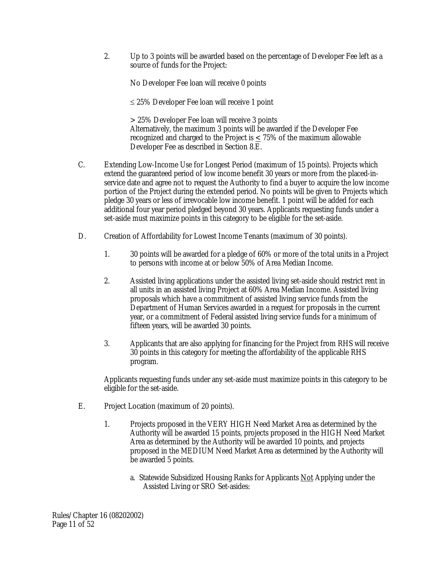2. Up to 3 points will be awarded based on the percentage of Developer Fee left as a source of funds for the Project:

No Developer Fee loan will receive 0 points

≤ 25% Developer Fee loan will receive 1 point

> 25% Developer Fee loan will receive 3 points Alternatively, the maximum 3 points will be awarded if the Developer Fee recognized and charged to the Project is  $\leq$  75% of the maximum allowable Developer Fee as described in Section 8.E.

- C. Extending Low-Income Use for Longest Period (maximum of 15 points). Projects which extend the guaranteed period of low income benefit 30 years or more from the placed-inservice date and agree not to request the Authority to find a buyer to acquire the low income portion of the Project during the extended period. No points will be given to Projects which pledge 30 years or less of irrevocable low income benefit. 1 point will be added for each additional four year period pledged beyond 30 years. Applicants requesting funds under a set-aside must maximize points in this category to be eligible for the set-aside.
- D. Creation of Affordability for Lowest Income Tenants (maximum of 30 points).
	- 1. 30 points will be awarded for a pledge of 60% or more of the total units in a Project to persons with income at or below 50% of Area Median Income.
	- 2. Assisted living applications under the assisted living set-aside should restrict rent in all units in an assisted living Project at 60% Area Median Income. Assisted living proposals which have a commitment of assisted living service funds from the Department of Human Services awarded in a request for proposals in the current year, or a commitment of Federal assisted living service funds for a minimum of fifteen years, will be awarded 30 points.
	- 3. Applicants that are also applying for financing for the Project from RHS will receive 30 points in this category for meeting the affordability of the applicable RHS program.

Applicants requesting funds under any set-aside must maximize points in this category to be eligible for the set-aside.

- E. Project Location (maximum of 20 points).
	- 1. Projects proposed in the VERY HIGH Need Market Area as determined by the Authority will be awarded 15 points, projects proposed in the HIGH Need Market Area as determined by the Authority will be awarded 10 points, and projects proposed in the MEDIUM Need Market Area as determined by the Authority will be awarded 5 points.
		- a. Statewide Subsidized Housing Ranks for Applicants Not Applying under the Assisted Living or SRO Set-asides: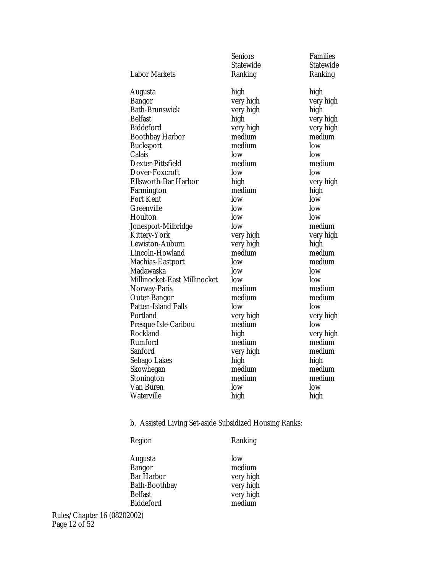|                              | <b>Seniors</b> | <b>Families</b>  |
|------------------------------|----------------|------------------|
|                              | Statewide      | <b>Statewide</b> |
| <b>Labor Markets</b>         | Ranking        | Ranking          |
| Augusta                      | high           | high             |
| Bangor                       | very high      | very high        |
| <b>Bath-Brunswick</b>        | very high      | high             |
| <b>Belfast</b>               | high           | very high        |
| <b>Biddeford</b>             | very high      | very high        |
| <b>Boothbay Harbor</b>       | medium         | medium           |
| <b>Bucksport</b>             | medium         | low              |
| Calais                       | low            | low              |
| Dexter-Pittsfield            | medium         | medium           |
| Dover-Foxcroft               | low            | low              |
| <b>Ellsworth-Bar Harbor</b>  | high           | very high        |
| Farmington                   | medium         | high             |
| <b>Fort Kent</b>             | low            | low              |
| Greenville                   | low            | low              |
| Houlton                      | low            | low              |
| Jonesport-Milbridge          | low            | medium           |
| Kittery-York                 | very high      | very high        |
| Lewiston-Auburn              | very high      | high             |
| Lincoln-Howland              | medium         | medium           |
| Machias-Eastport             | low            | medium           |
| Madawaska                    | low            | low              |
| Millinocket-East Millinocket | low            | low              |
| Norway-Paris                 | medium         | medium           |
| <b>Outer-Bangor</b>          | medium         | medium           |
| Patten-Island Falls          | low            | low              |
| Portland                     | very high      | very high        |
| Presque Isle-Caribou         | medium         | low              |
| Rockland                     | high           | very high        |
| Rumford                      | medium         | medium           |
| Sanford                      | very high      | medium           |
| Sebago Lakes                 | high           | high             |
| Skowhegan                    | medium         | medium           |
| Stonington                   | medium         | medium           |
| Van Buren                    | low            | low              |
| Waterville                   | high           | high             |
|                              |                |                  |

b. Assisted Living Set-aside Subsidized Housing Ranks:

# Region Ranking

| low       |
|-----------|
| medium    |
| very high |
| very high |
| very high |
| medium    |
|           |

Rules/Chapter 16 (08202002) Page 12 of 52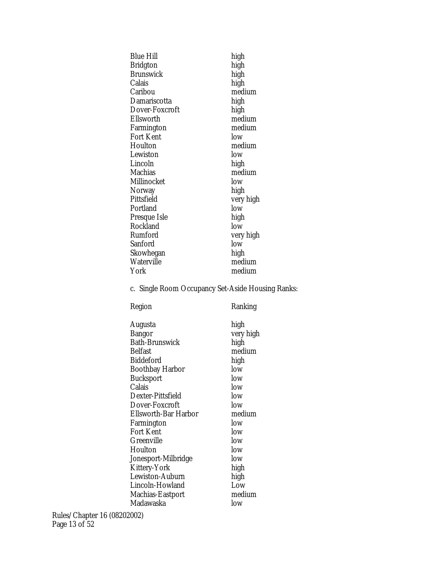| <b>Blue Hill</b>      | high      |
|-----------------------|-----------|
| Bridgton              | high      |
| Brunswick             | high      |
| Calais                | high      |
| Caribou               | medium    |
| Damariscotta          | high      |
| <b>Dover-Foxcroft</b> | high      |
| Ellsworth             | medium    |
| Farmington            | medium    |
| <b>Fort Kent</b>      | low       |
| Houlton               | medium    |
| Lewiston              | low       |
| Lincoln               | high      |
| Machias               | medium    |
| Millinocket           | low       |
| Norway                | high      |
| Pittsfield            | very high |
| Portland              | low       |
| Presque Isle          | high      |
| Rockland              | low       |
| Rumford               | very high |
| Sanford               | low       |
| Skowhegan             | high      |
| Waterville            | medium    |
| York                  | medium    |
|                       |           |

c. Single Room Occupancy Set-Aside Housing Ranks:

| Region                | Ranking   |
|-----------------------|-----------|
| Augusta               | high      |
| Bangor                | very high |
| <b>Bath-Brunswick</b> | high      |
| Belfast               | medium    |
| <b>Biddeford</b>      | high      |
| Boothbay Harbor       | low       |
| Bucksport             | low       |
| Calais                | low       |
| Dexter-Pittsfield     | low       |
| <b>Dover-Foxcroft</b> | low       |
| Ellsworth-Bar Harbor  | medium    |
| Farmington            | low       |
| Fort Kent             | low       |
| Greenville            | low       |
| Houlton               | low       |
| Jonesport-Milbridge   | low       |
| Kittery-York          | high      |
| Lewiston-Auburn       | high      |
| Lincoln-Howland       | Low       |
| Machias-Eastport      | medium    |
| Madawaska             | low       |
|                       |           |

Rules/Chapter 16 (08202002) Page 13 of 52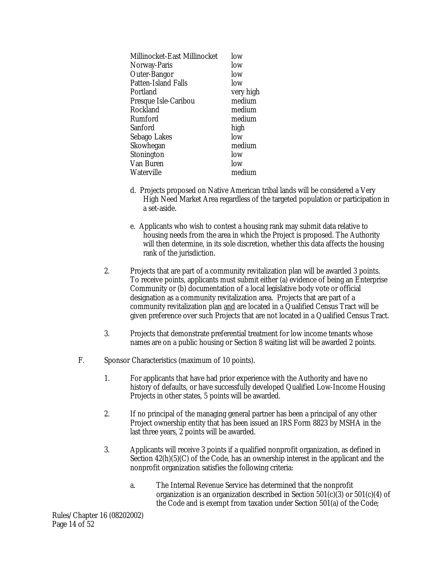| Millinocket-East Millinocket | low       |
|------------------------------|-----------|
| Norway-Paris                 | low       |
| <b>Outer-Bangor</b>          | low       |
| <b>Patten-Island Falls</b>   | low       |
| Portland                     | very high |
| Presque Isle-Caribou         | medium    |
| Rockland                     | medium    |
| Rumford                      | medium    |
| Sanford                      | high      |
| Sebago Lakes                 | low       |
| Skowhegan                    | medium    |
| Stonington                   | low       |
| Van Buren                    | low       |
| Waterville                   | medium    |
|                              |           |

- d. Projects proposed on Native American tribal lands will be considered a Very High Need Market Area regardless of the targeted population or participation in a set-aside.
- e. Applicants who wish to contest a housing rank may submit data relative to housing needs from the area in which the Project is proposed. The Authority will then determine, in its sole discretion, whether this data affects the housing rank of the jurisdiction.
- 2. Projects that are part of a community revitalization plan will be awarded 3 points. To receive points, applicants must submit either (a) evidence of being an Enterprise Community or (b) documentation of a local legislative body vote or official designation as a community revitalization area. Projects that are part of a community revitalization plan and are located in a Qualified Census Tract will be given preference over such Projects that are not located in a Qualified Census Tract.
- 3. Projects that demonstrate preferential treatment for low income tenants whose names are on a public housing or Section 8 waiting list will be awarded 2 points.
- F. Sponsor Characteristics (maximum of 10 points).
	- 1. For applicants that have had prior experience with the Authority and have no history of defaults, or have successfully developed Qualified Low-Income Housing Projects in other states, 5 points will be awarded.
	- 2. If no principal of the managing general partner has been a principal of any other Project ownership entity that has been issued an IRS Form 8823 by MSHA in the last three years, 2 points will be awarded.
	- 3. Applicants will receive 3 points if a qualified nonprofit organization, as defined in Section 42(h)(5)(C) of the Code, has an ownership interest in the applicant and the nonprofit organization satisfies the following criteria:
		- a. The Internal Revenue Service has determined that the nonprofit organization is an organization described in Section  $501(c)(3)$  or  $501(c)(4)$  of the Code and is exempt from taxation under Section 501(a) of the Code;

Rules/Chapter 16 (08202002) Page 14 of 52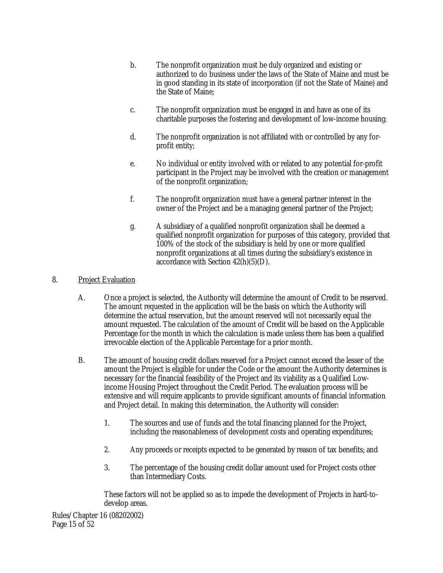- b. The nonprofit organization must be duly organized and existing or authorized to do business under the laws of the State of Maine and must be in good standing in its state of incorporation (if not the State of Maine) and the State of Maine;
- c. The nonprofit organization must be engaged in and have as one of its charitable purposes the fostering and development of low-income housing;
- d. The nonprofit organization is not affiliated with or controlled by any forprofit entity;
- e. No individual or entity involved with or related to any potential for-profit participant in the Project may be involved with the creation or management of the nonprofit organization;
- f. The nonprofit organization must have a general partner interest in the owner of the Project and be a managing general partner of the Project;
- g. A subsidiary of a qualified nonprofit organization shall be deemed a qualified nonprofit organization for purposes of this category, provided that 100% of the stock of the subsidiary is held by one or more qualified nonprofit organizations at all times during the subsidiary's existence in accordance with Section  $42(h)(5)(D)$ .

# 8. Project Evaluation

- A. Once a project is selected, the Authority will determine the amount of Credit to be reserved. The amount requested in the application will be the basis on which the Authority will determine the actual reservation, but the amount reserved will not necessarily equal the amount requested. The calculation of the amount of Credit will be based on the Applicable Percentage for the month in which the calculation is made unless there has been a qualified irrevocable election of the Applicable Percentage for a prior month.
- B. The amount of housing credit dollars reserved for a Project cannot exceed the lesser of the amount the Project is eligible for under the Code or the amount the Authority determines is necessary for the financial feasibility of the Project and its viability as a Qualified Lowincome Housing Project throughout the Credit Period. The evaluation process will be extensive and will require applicants to provide significant amounts of financial information and Project detail. In making this determination, the Authority will consider:
	- 1. The sources and use of funds and the total financing planned for the Project, including the reasonableness of development costs and operating expenditures;
	- 2. Any proceeds or receipts expected to be generated by reason of tax benefits; and
	- 3. The percentage of the housing credit dollar amount used for Project costs other than Intermediary Costs.

These factors will not be applied so as to impede the development of Projects in hard-todevelop areas.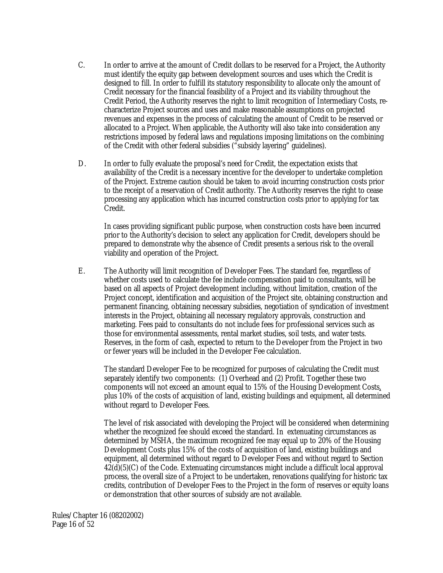- C. In order to arrive at the amount of Credit dollars to be reserved for a Project, the Authority must identify the equity gap between development sources and uses which the Credit is designed to fill. In order to fulfill its statutory responsibility to allocate only the amount of Credit necessary for the financial feasibility of a Project and its viability throughout the Credit Period, the Authority reserves the right to limit recognition of Intermediary Costs, recharacterize Project sources and uses and make reasonable assumptions on projected revenues and expenses in the process of calculating the amount of Credit to be reserved or allocated to a Project. When applicable, the Authority will also take into consideration any restrictions imposed by federal laws and regulations imposing limitations on the combining of the Credit with other federal subsidies ("subsidy layering" guidelines).
- D. In order to fully evaluate the proposal's need for Credit, the expectation exists that availability of the Credit is a necessary incentive for the developer to undertake completion of the Project. Extreme caution should be taken to avoid incurring construction costs prior to the receipt of a reservation of Credit authority. The Authority reserves the right to cease processing any application which has incurred construction costs prior to applying for tax Credit.

In cases providing significant public purpose, when construction costs have been incurred prior to the Authority's decision to select any application for Credit, developers should be prepared to demonstrate why the absence of Credit presents a serious risk to the overall viability and operation of the Project.

E. The Authority will limit recognition of Developer Fees. The standard fee, regardless of whether costs used to calculate the fee include compensation paid to consultants, will be based on all aspects of Project development including, without limitation, creation of the Project concept, identification and acquisition of the Project site, obtaining construction and permanent financing, obtaining necessary subsidies, negotiation of syndication of investment interests in the Project, obtaining all necessary regulatory approvals, construction and marketing. Fees paid to consultants do not include fees for professional services such as those for environmental assessments, rental market studies, soil tests, and water tests. Reserves, in the form of cash, expected to return to the Developer from the Project in two or fewer years will be included in the Developer Fee calculation.

The standard Developer Fee to be recognized for purposes of calculating the Credit must separately identify two components: (1) Overhead and (2) Profit. Together these two components will not exceed an amount equal to 15% of the Housing Development Costs, plus 10% of the costs of acquisition of land, existing buildings and equipment, all determined without regard to Developer Fees.

The level of risk associated with developing the Project will be considered when determining whether the recognized fee should exceed the standard. In extenuating circumstances as determined by MSHA, the maximum recognized fee may equal up to 20% of the Housing Development Costs plus 15% of the costs of acquisition of land, existing buildings and equipment, all determined without regard to Developer Fees and without regard to Section 42(d)(5)(C) of the Code. Extenuating circumstances might include a difficult local approval process, the overall size of a Project to be undertaken, renovations qualifying for historic tax credits, contribution of Developer Fees to the Project in the form of reserves or equity loans or demonstration that other sources of subsidy are not available.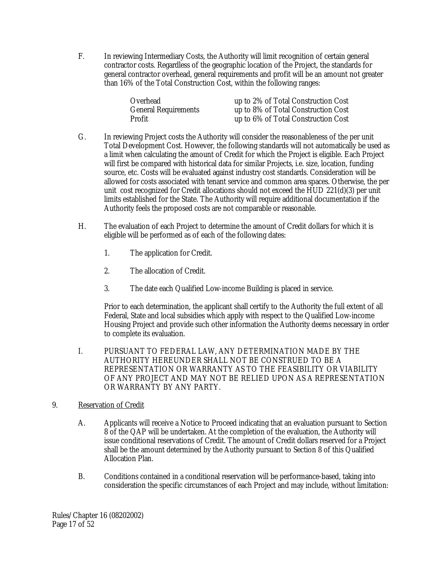F. In reviewing Intermediary Costs, the Authority will limit recognition of certain general contractor costs. Regardless of the geographic location of the Project, the standards for general contractor overhead, general requirements and profit will be an amount not greater than 16% of the Total Construction Cost, within the following ranges:

| Overhead                    | up to 2% of Total Construction Cost |
|-----------------------------|-------------------------------------|
| <b>General Requirements</b> | up to 8% of Total Construction Cost |
| Profit                      | up to 6% of Total Construction Cost |

- G. In reviewing Project costs the Authority will consider the reasonableness of the per unit Total Development Cost. However, the following standards will not automatically be used as a limit when calculating the amount of Credit for which the Project is eligible. Each Project will first be compared with historical data for similar Projects, i.e. size, location, funding source, etc. Costs will be evaluated against industry cost standards. Consideration will be allowed for costs associated with tenant service and common area spaces. Otherwise, the per unit cost recognized for Credit allocations should not exceed the HUD 221(d)(3) per unit limits established for the State. The Authority will require additional documentation if the Authority feels the proposed costs are not comparable or reasonable.
- H. The evaluation of each Project to determine the amount of Credit dollars for which it is eligible will be performed as of each of the following dates:
	- 1. The application for Credit.
	- 2. The allocation of Credit.
	- 3. The date each Qualified Low-income Building is placed in service.

Prior to each determination, the applicant shall certify to the Authority the full extent of all Federal, State and local subsidies which apply with respect to the Qualified Low-income Housing Project and provide such other information the Authority deems necessary in order to complete its evaluation.

- I. PURSUANT TO FEDERAL LAW, ANY DETERMINATION MADE BY THE AUTHORITY HEREUNDER SHALL NOT BE CONSTRUED TO BE A REPRESENTATION OR WARRANTY AS TO THE FEASIBILITY OR VIABILITY OF ANY PROJECT AND MAY NOT BE RELIED UPON AS A REPRESENTATION OR WARRANTY BY ANY PARTY.
- 9. Reservation of Credit
	- A. Applicants will receive a Notice to Proceed indicating that an evaluation pursuant to Section 8 of the QAP will be undertaken. At the completion of the evaluation, the Authority will issue conditional reservations of Credit. The amount of Credit dollars reserved for a Project shall be the amount determined by the Authority pursuant to Section 8 of this Qualified Allocation Plan.
	- B. Conditions contained in a conditional reservation will be performance-based, taking into consideration the specific circumstances of each Project and may include, without limitation:

Rules/Chapter 16 (08202002) Page 17 of 52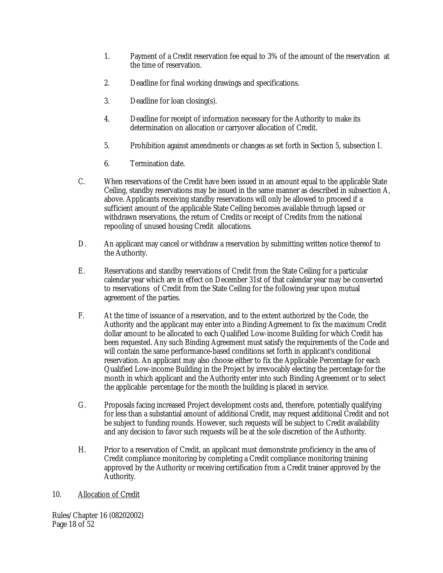- 1. Payment of a Credit reservation fee equal to 3% of the amount of the reservation at the time of reservation.
- 2. Deadline for final working drawings and specifications.
- 3. Deadline for loan closing(s).
- 4. Deadline for receipt of information necessary for the Authority to make its determination on allocation or carryover allocation of Credit.
- 5. Prohibition against amendments or changes as set forth in Section 5, subsection I.
- 6. Termination date.
- C. When reservations of the Credit have been issued in an amount equal to the applicable State Ceiling, standby reservations may be issued in the same manner as described in subsection A, above. Applicants receiving standby reservations will only be allowed to proceed if a sufficient amount of the applicable State Ceiling becomes available through lapsed or withdrawn reservations, the return of Credits or receipt of Credits from the national repooling of unused housing Credit allocations.
- D. An applicant may cancel or withdraw a reservation by submitting written notice thereof to the Authority.
- E. Reservations and standby reservations of Credit from the State Ceiling for a particular calendar year which are in effect on December 31st of that calendar year may be converted to reservations of Credit from the State Ceiling for the following year upon mutual agreement of the parties.
- F. At the time of issuance of a reservation, and to the extent authorized by the Code, the Authority and the applicant may enter into a Binding Agreement to fix the maximum Credit dollar amount to be allocated to each Qualified Low-income Building for which Credit has been requested. Any such Binding Agreement must satisfy the requirements of the Code and will contain the same performance-based conditions set forth in applicant's conditional reservation. An applicant may also choose either to fix the Applicable Percentage for each Qualified Low-income Building in the Project by irrevocably electing the percentage for the month in which applicant and the Authority enter into such Binding Agreement or to select the applicable percentage for the month the building is placed in service.
- G. Proposals facing increased Project development costs and, therefore, potentially qualifying for less than a substantial amount of additional Credit, may request additional Credit and not be subject to funding rounds. However, such requests will be subject to Credit availability and any decision to favor such requests will be at the sole discretion of the Authority.
- H. Prior to a reservation of Credit, an applicant must demonstrate proficiency in the area of Credit compliance monitoring by completing a Credit compliance monitoring training approved by the Authority or receiving certification from a Credit trainer approved by the Authority.
- 10. Allocation of Credit

Rules/Chapter 16 (08202002) Page 18 of 52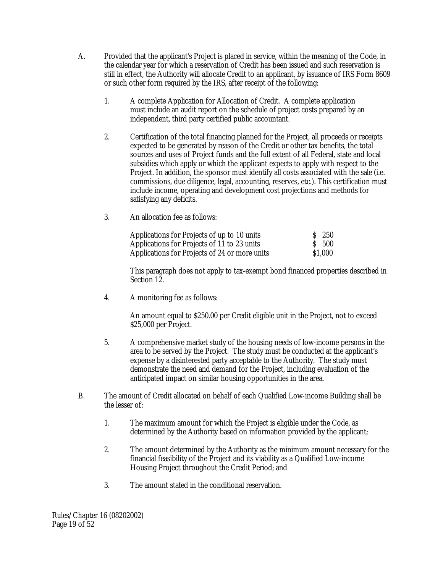- A. Provided that the applicant's Project is placed in service, within the meaning of the Code, in the calendar year for which a reservation of Credit has been issued and such reservation is still in effect, the Authority will allocate Credit to an applicant, by issuance of IRS Form 8609 or such other form required by the IRS, after receipt of the following:
	- 1. A complete Application for Allocation of Credit. A complete application must include an audit report on the schedule of project costs prepared by an independent, third party certified public accountant.
	- 2. Certification of the total financing planned for the Project, all proceeds or receipts expected to be generated by reason of the Credit or other tax benefits, the total sources and uses of Project funds and the full extent of all Federal, state and local subsidies which apply or which the applicant expects to apply with respect to the Project. In addition, the sponsor must identify all costs associated with the sale (i.e. commissions, due diligence, legal, accounting, reserves, etc.). This certification must include income, operating and development cost projections and methods for satisfying any deficits.
	- 3. An allocation fee as follows:

| Applications for Projects of up to 10 units   | $S$ 250 |
|-----------------------------------------------|---------|
| Applications for Projects of 11 to 23 units   | $S$ 500 |
| Applications for Projects of 24 or more units | \$1,000 |

This paragraph does not apply to tax-exempt bond financed properties described in Section 12.

4. A monitoring fee as follows:

An amount equal to \$250.00 per Credit eligible unit in the Project, not to exceed \$25,000 per Project.

- 5. A comprehensive market study of the housing needs of low-income persons in the area to be served by the Project. The study must be conducted at the applicant's expense by a disinterested party acceptable to the Authority. The study must demonstrate the need and demand for the Project, including evaluation of the anticipated impact on similar housing opportunities in the area.
- B. The amount of Credit allocated on behalf of each Qualified Low-income Building shall be the lesser of:
	- 1. The maximum amount for which the Project is eligible under the Code, as determined by the Authority based on information provided by the applicant;
	- 2. The amount determined by the Authority as the minimum amount necessary for the financial feasibility of the Project and its viability as a Qualified Low-income Housing Project throughout the Credit Period; and
	- 3. The amount stated in the conditional reservation.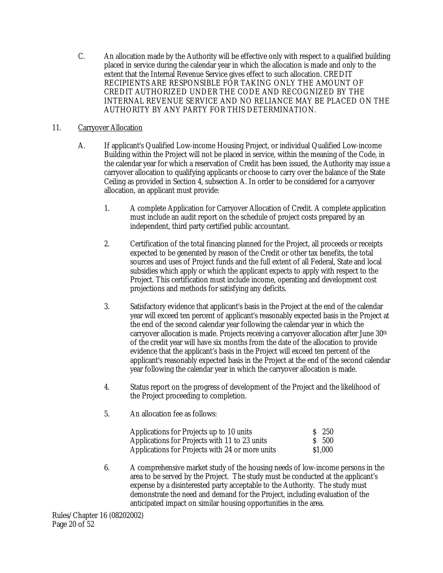C. An allocation made by the Authority will be effective only with respect to a qualified building placed in service during the calendar year in which the allocation is made and only to the extent that the Internal Revenue Service gives effect to such allocation. CREDIT RECIPIENTS ARE RESPONSIBLE FOR TAKING ONLY THE AMOUNT OF CREDIT AUTHORIZED UNDER THE CODE AND RECOGNIZED BY THE INTERNAL REVENUE SERVICE AND NO RELIANCE MAY BE PLACED ON THE AUTHORITY BY ANY PARTY FOR THIS DETERMINATION.

# 11. Carryover Allocation

- A. If applicant's Qualified Low-income Housing Project, or individual Qualified Low-income Building within the Project will not be placed in service, within the meaning of the Code, in the calendar year for which a reservation of Credit has been issued, the Authority may issue a carryover allocation to qualifying applicants or choose to carry over the balance of the State Ceiling as provided in Section 4, subsection A. In order to be considered for a carryover allocation, an applicant must provide:
	- 1. A complete Application for Carryover Allocation of Credit. A complete application must include an audit report on the schedule of project costs prepared by an independent, third party certified public accountant.
	- 2. Certification of the total financing planned for the Project, all proceeds or receipts expected to be generated by reason of the Credit or other tax benefits, the total sources and uses of Project funds and the full extent of all Federal, State and local subsidies which apply or which the applicant expects to apply with respect to the Project. This certification must include income, operating and development cost projections and methods for satisfying any deficits.
	- 3. Satisfactory evidence that applicant's basis in the Project at the end of the calendar year will exceed ten percent of applicant's reasonably expected basis in the Project at the end of the second calendar year following the calendar year in which the carryover allocation is made. Projects receiving a carryover allocation after June 30th of the credit year will have six months from the date of the allocation to provide evidence that the applicant's basis in the Project will exceed ten percent of the applicant's reasonably expected basis in the Project at the end of the second calendar year following the calendar year in which the carryover allocation is made.
	- 4. Status report on the progress of development of the Project and the likelihood of the Project proceeding to completion.
	- 5. An allocation fee as follows:

| Applications for Projects up to 10 units        | $S$ 250 |
|-------------------------------------------------|---------|
| Applications for Projects with 11 to 23 units   | $S$ 500 |
| Applications for Projects with 24 or more units | \$1.000 |

6. A comprehensive market study of the housing needs of low-income persons in the area to be served by the Project. The study must be conducted at the applicant's expense by a disinterested party acceptable to the Authority. The study must demonstrate the need and demand for the Project, including evaluation of the anticipated impact on similar housing opportunities in the area.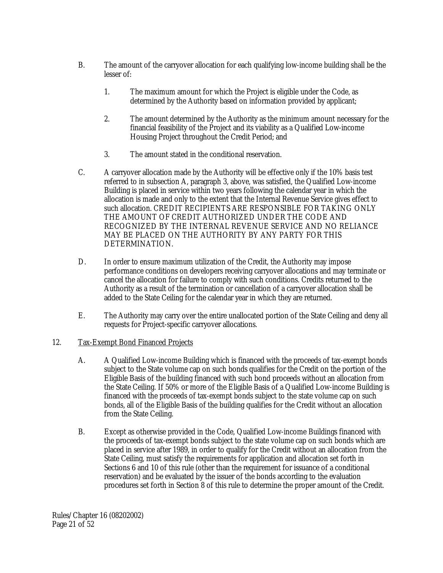- B. The amount of the carryover allocation for each qualifying low-income building shall be the lesser of:
	- 1. The maximum amount for which the Project is eligible under the Code, as determined by the Authority based on information provided by applicant;
	- 2. The amount determined by the Authority as the minimum amount necessary for the financial feasibility of the Project and its viability as a Qualified Low-income Housing Project throughout the Credit Period; and
	- 3. The amount stated in the conditional reservation.
- C. A carryover allocation made by the Authority will be effective only if the 10% basis test referred to in subsection A, paragraph 3, above, was satisfied, the Qualified Low-income Building is placed in service within two years following the calendar year in which the allocation is made and only to the extent that the Internal Revenue Service gives effect to such allocation. CREDIT RECIPIENTS ARE RESPONSIBLE FOR TAKING ONLY THE AMOUNT OF CREDIT AUTHORIZED UNDER THE CODE AND RECOGNIZED BY THE INTERNAL REVENUE SERVICE AND NO RELIANCE MAY BE PLACED ON THE AUTHORITY BY ANY PARTY FOR THIS DETERMINATION.
- D. In order to ensure maximum utilization of the Credit, the Authority may impose performance conditions on developers receiving carryover allocations and may terminate or cancel the allocation for failure to comply with such conditions. Credits returned to the Authority as a result of the termination or cancellation of a carryover allocation shall be added to the State Ceiling for the calendar year in which they are returned.
- E. The Authority may carry over the entire unallocated portion of the State Ceiling and deny all requests for Project-specific carryover allocations.

# 12. Tax-Exempt Bond Financed Projects

- A. A Qualified Low-income Building which is financed with the proceeds of tax-exempt bonds subject to the State volume cap on such bonds qualifies for the Credit on the portion of the Eligible Basis of the building financed with such bond proceeds without an allocation from the State Ceiling. If 50% or more of the Eligible Basis of a Qualified Low-income Building is financed with the proceeds of tax-exempt bonds subject to the state volume cap on such bonds, all of the Eligible Basis of the building qualifies for the Credit without an allocation from the State Ceiling.
- B. Except as otherwise provided in the Code, Qualified Low-income Buildings financed with the proceeds of tax-exempt bonds subject to the state volume cap on such bonds which are placed in service after 1989, in order to qualify for the Credit without an allocation from the State Ceiling, must satisfy the requirements for application and allocation set forth in Sections 6 and 10 of this rule (other than the requirement for issuance of a conditional reservation) and be evaluated by the issuer of the bonds according to the evaluation procedures set forth in Section 8 of this rule to determine the proper amount of the Credit.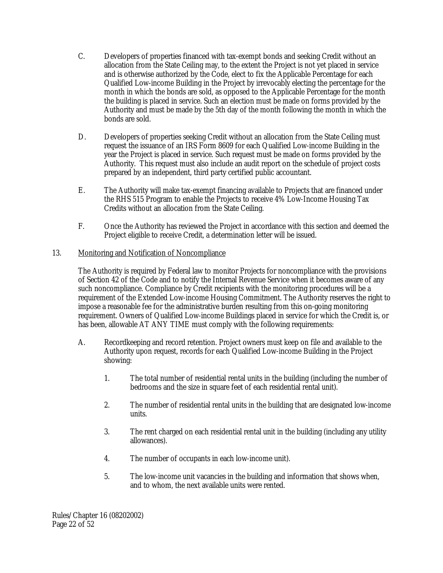- C. Developers of properties financed with tax-exempt bonds and seeking Credit without an allocation from the State Ceiling may, to the extent the Project is not yet placed in service and is otherwise authorized by the Code, elect to fix the Applicable Percentage for each Qualified Low-income Building in the Project by irrevocably electing the percentage for the month in which the bonds are sold, as opposed to the Applicable Percentage for the month the building is placed in service. Such an election must be made on forms provided by the Authority and must be made by the 5th day of the month following the month in which the bonds are sold.
- D. Developers of properties seeking Credit without an allocation from the State Ceiling must request the issuance of an IRS Form 8609 for each Qualified Low-income Building in the year the Project is placed in service. Such request must be made on forms provided by the Authority. This request must also include an audit report on the schedule of project costs prepared by an independent, third party certified public accountant.
- E. The Authority will make tax-exempt financing available to Projects that are financed under the RHS 515 Program to enable the Projects to receive 4% Low-Income Housing Tax Credits without an allocation from the State Ceiling.
- F. Once the Authority has reviewed the Project in accordance with this section and deemed the Project eligible to receive Credit, a determination letter will be issued.

# 13. Monitoring and Notification of Noncompliance

The Authority is required by Federal law to monitor Projects for noncompliance with the provisions of Section 42 of the Code and to notify the Internal Revenue Service when it becomes aware of any such noncompliance. Compliance by Credit recipients with the monitoring procedures will be a requirement of the Extended Low-income Housing Commitment. The Authority reserves the right to impose a reasonable fee for the administrative burden resulting from this on-going monitoring requirement. Owners of Qualified Low-income Buildings placed in service for which the Credit is, or has been, allowable AT ANY TIME must comply with the following requirements:

- A. Recordkeeping and record retention. Project owners must keep on file and available to the Authority upon request, records for each Qualified Low-income Building in the Project showing:
	- 1. The total number of residential rental units in the building (including the number of bedrooms and the size in square feet of each residential rental unit).
	- 2. The number of residential rental units in the building that are designated low-income units.
	- 3. The rent charged on each residential rental unit in the building (including any utility allowances).
	- 4. The number of occupants in each low-income unit).
	- 5. The low-income unit vacancies in the building and information that shows when, and to whom, the next available units were rented.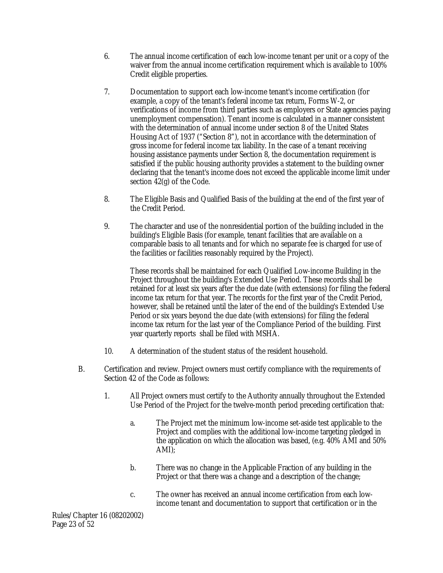- 6. The annual income certification of each low-income tenant per unit or a copy of the waiver from the annual income certification requirement which is available to 100% Credit eligible properties.
- 7. Documentation to support each low-income tenant's income certification (for example, a copy of the tenant's federal income tax return, Forms W-2, or verifications of income from third parties such as employers or State agencies paying unemployment compensation). Tenant income is calculated in a manner consistent with the determination of annual income under section 8 of the United States Housing Act of 1937 ("Section 8"), not in accordance with the determination of gross income for federal income tax liability. In the case of a tenant receiving housing assistance payments under Section 8, the documentation requirement is satisfied if the public housing authority provides a statement to the building owner declaring that the tenant's income does not exceed the applicable income limit under section 42(g) of the Code.
- 8. The Eligible Basis and Qualified Basis of the building at the end of the first year of the Credit Period.
- 9. The character and use of the nonresidential portion of the building included in the building's Eligible Basis (for example, tenant facilities that are available on a comparable basis to all tenants and for which no separate fee is charged for use of the facilities or facilities reasonably required by the Project).

These records shall be maintained for each Qualified Low-income Building in the Project throughout the building's Extended Use Period. These records shall be retained for at least six years after the due date (with extensions) for filing the federal income tax return for that year. The records for the first year of the Credit Period, however, shall be retained until the later of the end of the building's Extended Use Period or six years beyond the due date (with extensions) for filing the federal income tax return for the last year of the Compliance Period of the building. First year quarterly reports shall be filed with MSHA.

- 10. A determination of the student status of the resident household.
- B. Certification and review. Project owners must certify compliance with the requirements of Section 42 of the Code as follows:
	- 1. All Project owners must certify to the Authority annually throughout the Extended Use Period of the Project for the twelve-month period preceding certification that:
		- a. The Project met the minimum low-income set-aside test applicable to the Project and complies with the additional low-income targeting pledged in the application on which the allocation was based, (e.g. 40% AMI and 50% AMI);
		- b. There was no change in the Applicable Fraction of any building in the Project or that there was a change and a description of the change;
		- c. The owner has received an annual income certification from each lowincome tenant and documentation to support that certification or in the

Rules/Chapter 16 (08202002) Page 23 of 52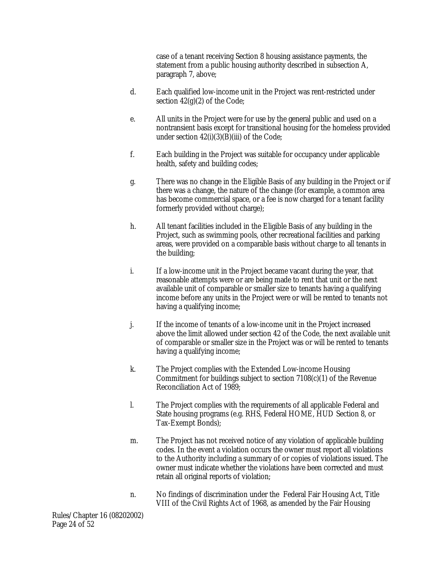case of a tenant receiving Section 8 housing assistance payments, the statement from a public housing authority described in subsection A, paragraph 7, above;

- d. Each qualified low-income unit in the Project was rent-restricted under section  $42(g)(2)$  of the Code;
- e. All units in the Project were for use by the general public and used on a nontransient basis except for transitional housing for the homeless provided under section 42(i)(3)(B)(iii) of the Code;
- f. Each building in the Project was suitable for occupancy under applicable health, safety and building codes;
- g. There was no change in the Eligible Basis of any building in the Project or if there was a change, the nature of the change (for example, a common area has become commercial space, or a fee is now charged for a tenant facility formerly provided without charge);
- h. All tenant facilities included in the Eligible Basis of any building in the Project, such as swimming pools, other recreational facilities and parking areas, were provided on a comparable basis without charge to all tenants in the building;
- i. If a low-income unit in the Project became vacant during the year, that reasonable attempts were or are being made to rent that unit or the next available unit of comparable or smaller size to tenants having a qualifying income before any units in the Project were or will be rented to tenants not having a qualifying income;
- j. If the income of tenants of a low-income unit in the Project increased above the limit allowed under section 42 of the Code, the next available unit of comparable or smaller size in the Project was or will be rented to tenants having a qualifying income;
- k. The Project complies with the Extended Low-income Housing Commitment for buildings subject to section 7108(c)(1) of the Revenue Reconciliation Act of 1989;
- l. The Project complies with the requirements of all applicable Federal and State housing programs (e.g. RHS, Federal HOME, HUD Section 8, or Tax-Exempt Bonds);
- m. The Project has not received notice of any violation of applicable building codes. In the event a violation occurs the owner must report all violations to the Authority including a summary of or copies of violations issued. The owner must indicate whether the violations have been corrected and must retain all original reports of violation;
- n. No findings of discrimination under the Federal Fair Housing Act, Title VIII of the Civil Rights Act of 1968, as amended by the Fair Housing

Rules/Chapter 16 (08202002) Page 24 of 52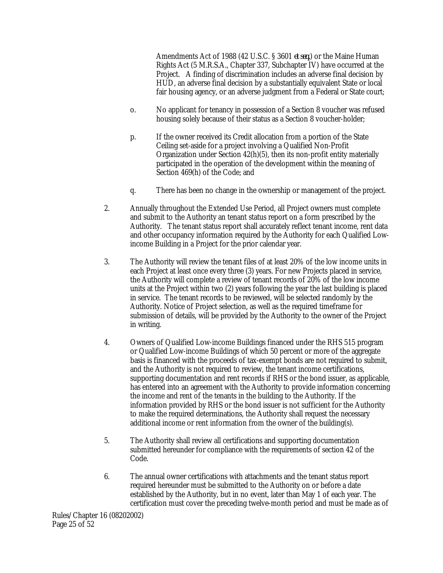Amendments Act of 1988 (42 U.S.C. § 3601 *et seq.*) or the Maine Human Rights Act (5 M.R.S.A., Chapter 337, Subchapter IV) have occurred at the Project. A finding of discrimination includes an adverse final decision by HUD, an adverse final decision by a substantially equivalent State or local fair housing agency, or an adverse judgment from a Federal or State court;

- o. No applicant for tenancy in possession of a Section 8 voucher was refused housing solely because of their status as a Section 8 voucher-holder;
- p. If the owner received its Credit allocation from a portion of the State Ceiling set-aside for a project involving a Qualified Non-Profit Organization under Section 42(h)(5), then its non-profit entity materially participated in the operation of the development within the meaning of Section 469(h) of the Code; and
- q. There has been no change in the ownership or management of the project.
- 2. Annually throughout the Extended Use Period, all Project owners must complete and submit to the Authority an tenant status report on a form prescribed by the Authority. The tenant status report shall accurately reflect tenant income, rent data and other occupancy information required by the Authority for each Qualified Lowincome Building in a Project for the prior calendar year.
- 3. The Authority will review the tenant files of at least 20% of the low income units in each Project at least once every three (3) years. For new Projects placed in service, the Authority will complete a review of tenant records of 20% of the low income units at the Project within two (2) years following the year the last building is placed in service. The tenant records to be reviewed, will be selected randomly by the Authority. Notice of Project selection, as well as the required timeframe for submission of details, will be provided by the Authority to the owner of the Project in writing.
- 4. Owners of Qualified Low-income Buildings financed under the RHS 515 program or Qualified Low-income Buildings of which 50 percent or more of the aggregate basis is financed with the proceeds of tax-exempt bonds are not required to submit, and the Authority is not required to review, the tenant income certifications, supporting documentation and rent records if RHS or the bond issuer, as applicable, has entered into an agreement with the Authority to provide information concerning the income and rent of the tenants in the building to the Authority. If the information provided by RHS or the bond issuer is not sufficient for the Authority to make the required determinations, the Authority shall request the necessary additional income or rent information from the owner of the building(s).
- 5. The Authority shall review all certifications and supporting documentation submitted hereunder for compliance with the requirements of section 42 of the Code.
- 6. The annual owner certifications with attachments and the tenant status report required hereunder must be submitted to the Authority on or before a date established by the Authority, but in no event, later than May 1 of each year. The certification must cover the preceding twelve-month period and must be made as of

Rules/Chapter 16 (08202002) Page 25 of 52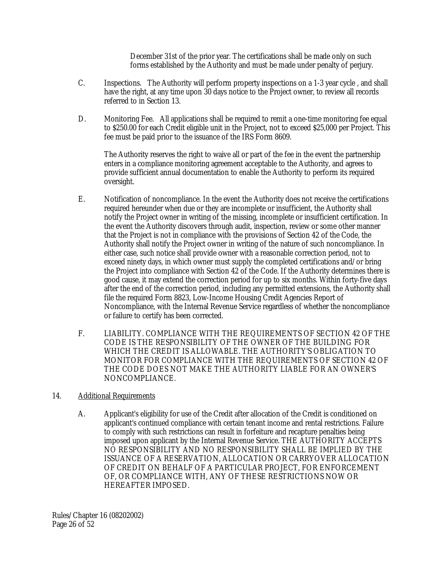December 31st of the prior year. The certifications shall be made only on such forms established by the Authority and must be made under penalty of perjury.

- C. Inspections. The Authority will perform property inspections on a 1-3 year cycle , and shall have the right, at any time upon 30 days notice to the Project owner, to review all records referred to in Section 13.
- D. Monitoring Fee. All applications shall be required to remit a one-time monitoring fee equal to \$250.00 for each Credit eligible unit in the Project, not to exceed \$25,000 per Project. This fee must be paid prior to the issuance of the IRS Form 8609.

The Authority reserves the right to waive all or part of the fee in the event the partnership enters in a compliance monitoring agreement acceptable to the Authority, and agrees to provide sufficient annual documentation to enable the Authority to perform its required oversight.

- E. Notification of noncompliance. In the event the Authority does not receive the certifications required hereunder when due or they are incomplete or insufficient, the Authority shall notify the Project owner in writing of the missing, incomplete or insufficient certification. In the event the Authority discovers through audit, inspection, review or some other manner that the Project is not in compliance with the provisions of Section 42 of the Code, the Authority shall notify the Project owner in writing of the nature of such noncompliance. In either case, such notice shall provide owner with a reasonable correction period, not to exceed ninety days, in which owner must supply the completed certifications and/or bring the Project into compliance with Section 42 of the Code. If the Authority determines there is good cause, it may extend the correction period for up to six months. Within forty-five days after the end of the correction period, including any permitted extensions, the Authority shall file the required Form 8823, Low-Income Housing Credit Agencies Report of Noncompliance, with the Internal Revenue Service regardless of whether the noncompliance or failure to certify has been corrected.
- F. LIABILITY. COMPLIANCE WITH THE REQUIREMENTS OF SECTION 42 OF THE CODE IS THE RESPONSIBILITY OF THE OWNER OF THE BUILDING FOR WHICH THE CREDIT IS ALLOWABLE. THE AUTHORITY'S OBLIGATION TO MONITOR FOR COMPLIANCE WITH THE REQUIREMENTS OF SECTION 42 OF THE CODE DOES NOT MAKE THE AUTHORITY LIABLE FOR AN OWNER'S NONCOMPLIANCE.
- 14. Additional Requirements
	- A. Applicant's eligibility for use of the Credit after allocation of the Credit is conditioned on applicant's continued compliance with certain tenant income and rental restrictions. Failure to comply with such restrictions can result in forfeiture and recapture penalties being imposed upon applicant by the Internal Revenue Service. THE AUTHORITY ACCEPTS NO RESPONSIBILITY AND NO RESPONSIBILITY SHALL BE IMPLIED BY THE ISSUANCE OF A RESERVATION, ALLOCATION OR CARRYOVER ALLOCATION OF CREDIT ON BEHALF OF A PARTICULAR PROJECT, FOR ENFORCEMENT OF, OR COMPLIANCE WITH, ANY OF THESE RESTRICTIONS NOW OR HEREAFTER IMPOSED.

Rules/Chapter 16 (08202002) Page 26 of 52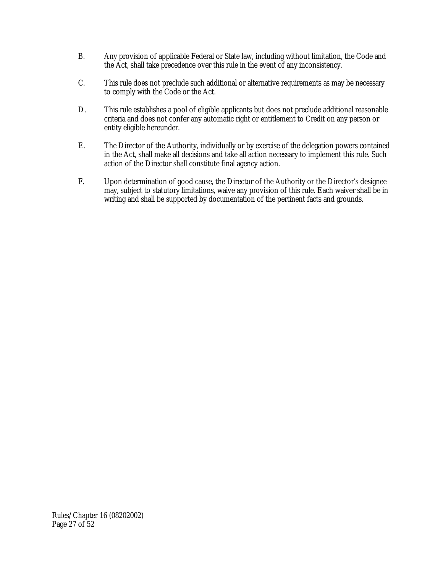- B. Any provision of applicable Federal or State law, including without limitation, the Code and the Act, shall take precedence over this rule in the event of any inconsistency.
- C. This rule does not preclude such additional or alternative requirements as may be necessary to comply with the Code or the Act.
- D. This rule establishes a pool of eligible applicants but does not preclude additional reasonable criteria and does not confer any automatic right or entitlement to Credit on any person or entity eligible hereunder.
- E. The Director of the Authority, individually or by exercise of the delegation powers contained in the Act, shall make all decisions and take all action necessary to implement this rule. Such action of the Director shall constitute final agency action.
- F. Upon determination of good cause, the Director of the Authority or the Director's designee may, subject to statutory limitations, waive any provision of this rule. Each waiver shall be in writing and shall be supported by documentation of the pertinent facts and grounds.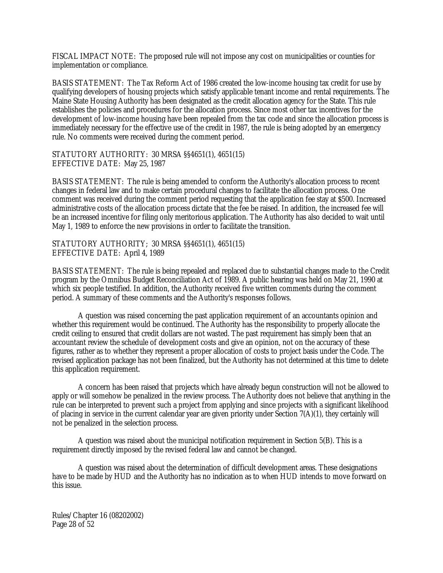FISCAL IMPACT NOTE: The proposed rule will not impose any cost on municipalities or counties for implementation or compliance.

BASIS STATEMENT: The Tax Reform Act of 1986 created the low-income housing tax credit for use by qualifying developers of housing projects which satisfy applicable tenant income and rental requirements. The Maine State Housing Authority has been designated as the credit allocation agency for the State. This rule establishes the policies and procedures for the allocation process. Since most other tax incentives for the development of low-income housing have been repealed from the tax code and since the allocation process is immediately necessary for the effective use of the credit in 1987, the rule is being adopted by an emergency rule. No comments were received during the comment period.

STATUTORY AUTHORITY: 30 MRSA §§4651(1), 4651(15) EFFECTIVE DATE: May 25, 1987

BASIS STATEMENT: The rule is being amended to conform the Authority's allocation process to recent changes in federal law and to make certain procedural changes to facilitate the allocation process. One comment was received during the comment period requesting that the application fee stay at \$500. Increased administrative costs of the allocation process dictate that the fee be raised. In addition, the increased fee will be an increased incentive for filing only meritorious application. The Authority has also decided to wait until May 1, 1989 to enforce the new provisions in order to facilitate the transition.

STATUTORY AUTHORITY; 30 MRSA §§4651(1), 4651(15) EFFECTIVE DATE: April 4, 1989

BASIS STATEMENT: The rule is being repealed and replaced due to substantial changes made to the Credit program by the Omnibus Budget Reconciliation Act of 1989. A public hearing was held on May 21, 1990 at which six people testified. In addition, the Authority received five written comments during the comment period. A summary of these comments and the Authority's responses follows.

A question was raised concerning the past application requirement of an accountants opinion and whether this requirement would be continued. The Authority has the responsibility to properly allocate the credit ceiling to ensured that credit dollars are not wasted. The past requirement has simply been that an accountant review the schedule of development costs and give an opinion, not on the accuracy of these figures, rather as to whether they represent a proper allocation of costs to project basis under the Code. The revised application package has not been finalized, but the Authority has not determined at this time to delete this application requirement.

A concern has been raised that projects which have already begun construction will not be allowed to apply or will somehow be penalized in the review process. The Authority does not believe that anything in the rule can be interpreted to prevent such a project from applying and since projects with a significant likelihood of placing in service in the current calendar year are given priority under Section 7(A)(1), they certainly will not be penalized in the selection process.

A question was raised about the municipal notification requirement in Section 5(B). This is a requirement directly imposed by the revised federal law and cannot be changed.

A question was raised about the determination of difficult development areas. These designations have to be made by HUD and the Authority has no indication as to when HUD intends to move forward on this issue.

Rules/Chapter 16 (08202002) Page 28 of 52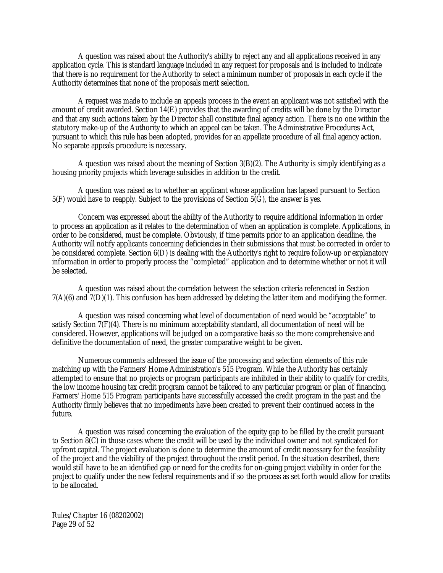A question was raised about the Authority's ability to reject any and all applications received in any application cycle. This is standard language included in any request for proposals and is included to indicate that there is no requirement for the Authority to select a minimum number of proposals in each cycle if the Authority determines that none of the proposals merit selection.

A request was made to include an appeals process in the event an applicant was not satisfied with the amount of credit awarded. Section 14(E) provides that the awarding of credits will be done by the Director and that any such actions taken by the Director shall constitute final agency action. There is no one within the statutory make-up of the Authority to which an appeal can be taken. The Administrative Procedures Act, pursuant to which this rule has been adopted, provides for an appellate procedure of all final agency action. No separate appeals procedure is necessary.

A question was raised about the meaning of Section 3(B)(2). The Authority is simply identifying as a housing priority projects which leverage subsidies in addition to the credit.

A question was raised as to whether an applicant whose application has lapsed pursuant to Section  $5(F)$  would have to reapply. Subject to the provisions of Section  $5(\overline{G})$ , the answer is yes.

Concern was expressed about the ability of the Authority to require additional information in order to process an application as it relates to the determination of when an application is complete. Applications, in order to be considered, must be complete. Obviously, if time permits prior to an application deadline, the Authority will notify applicants concerning deficiencies in their submissions that must be corrected in order to be considered complete. Section 6(D) is dealing with the Authority's right to require follow-up or explanatory information in order to properly process the "completed" application and to determine whether or not it will be selected.

A question was raised about the correlation between the selection criteria referenced in Section 7(A)(6) and 7(D)(1). This confusion has been addressed by deleting the latter item and modifying the former.

A question was raised concerning what level of documentation of need would be "acceptable" to satisfy Section 7(F)(4). There is no minimum acceptability standard, all documentation of need will be considered. However, applications will be judged on a comparative basis so the more comprehensive and definitive the documentation of need, the greater comparative weight to be given.

Numerous comments addressed the issue of the processing and selection elements of this rule matching up with the Farmers' Home Administration's 515 Program. While the Authority has certainly attempted to ensure that no projects or program participants are inhibited in their ability to qualify for credits, the low income housing tax credit program cannot be tailored to any particular program or plan of financing. Farmers' Home 515 Program participants have successfully accessed the credit program in the past and the Authority firmly believes that no impediments have been created to prevent their continued access in the future.

A question was raised concerning the evaluation of the equity gap to be filled by the credit pursuant to Section 8(C) in those cases where the credit will be used by the individual owner and not syndicated for upfront capital. The project evaluation is done to determine the amount of credit necessary for the feasibility of the project and the viability of the project throughout the credit period. In the situation described, there would still have to be an identified gap or need for the credits for on-going project viability in order for the project to qualify under the new federal requirements and if so the process as set forth would allow for credits to be allocated.

Rules/Chapter 16 (08202002) Page 29 of 52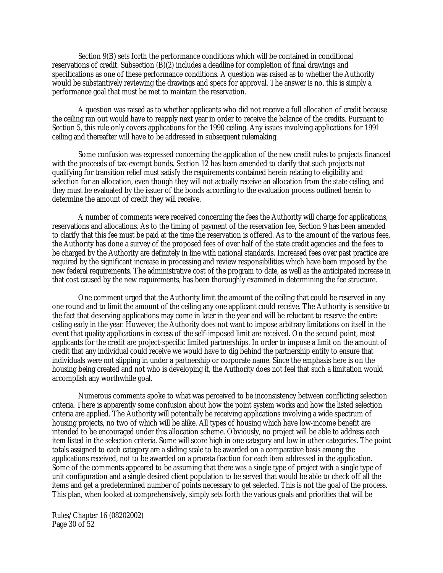Section 9(B) sets forth the performance conditions which will be contained in conditional reservations of credit. Subsection (B)(2) includes a deadline for completion of final drawings and specifications as one of these performance conditions. A question was raised as to whether the Authority would be substantively reviewing the drawings and specs for approval. The answer is no, this is simply a performance goal that must be met to maintain the reservation.

A question was raised as to whether applicants who did not receive a full allocation of credit because the ceiling ran out would have to reapply next year in order to receive the balance of the credits. Pursuant to Section 5, this rule only covers applications for the 1990 ceiling. Any issues involving applications for 1991 ceiling and thereafter will have to be addressed in subsequent rulemaking.

Some confusion was expressed concerning the application of the new credit rules to projects financed with the proceeds of tax-exempt bonds. Section 12 has been amended to clarify that such projects not qualifying for transition relief must satisfy the requirements contained herein relating to eligibility and selection for an allocation, even though they will not actually receive an allocation from the state ceiling, and they must be evaluated by the issuer of the bonds according to the evaluation process outlined herein to determine the amount of credit they will receive.

A number of comments were received concerning the fees the Authority will charge for applications, reservations and allocations. As to the timing of payment of the reservation fee, Section 9 has been amended to clarify that this fee must be paid at the time the reservation is offered. As to the amount of the various fees, the Authority has done a survey of the proposed fees of over half of the state credit agencies and the fees to be charged by the Authority are definitely in line with national standards. Increased fees over past practice are required by the significant increase in processing and review responsibilities which have been imposed by the new federal requirements. The administrative cost of the program to date, as well as the anticipated increase in that cost caused by the new requirements, has been thoroughly examined in determining the fee structure.

One comment urged that the Authority limit the amount of the ceiling that could be reserved in any one round and to limit the amount of the ceiling any one applicant could receive. The Authority is sensitive to the fact that deserving applications may come in later in the year and will be reluctant to reserve the entire ceiling early in the year. However, the Authority does not want to impose arbitrary limitations on itself in the event that quality applications in excess of the self-imposed limit are received. On the second point, most applicants for the credit are project-specific limited partnerships. In order to impose a limit on the amount of credit that any individual could receive we would have to dig behind the partnership entity to ensure that individuals were not slipping in under a partnership or corporate name. Since the emphasis here is on the housing being created and not who is developing it, the Authority does not feel that such a limitation would accomplish any worthwhile goal.

Numerous comments spoke to what was perceived to be inconsistency between conflicting selection criteria. There is apparently some confusion about how the point system works and how the listed selection criteria are applied. The Authority will potentially be receiving applications involving a wide spectrum of housing projects, no two of which will be alike. All types of housing which have low-income benefit are intended to be encouraged under this allocation scheme. Obviously, no project will be able to address each item listed in the selection criteria. Some will score high in one category and low in other categories. The point totals assigned to each category are a sliding scale to be awarded on a comparative basis among the applications received, not to be awarded on a prorata fraction for each item addressed in the application. Some of the comments appeared to be assuming that there was a single type of project with a single type of unit configuration and a single desired client population to be served that would be able to check off all the items and get a predetermined number of points necessary to get selected. This is not the goal of the process. This plan, when looked at comprehensively, simply sets forth the various goals and priorities that will be

Rules/Chapter 16 (08202002) Page 30 of 52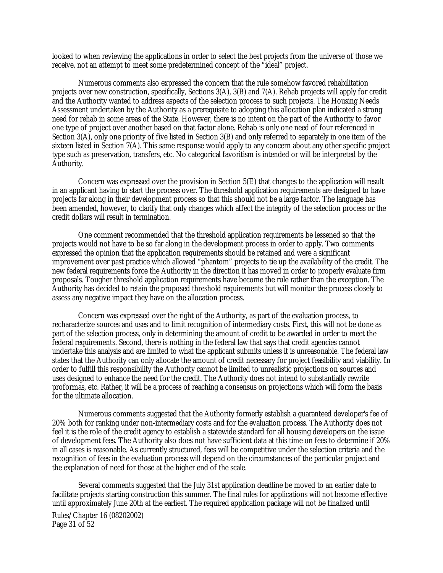looked to when reviewing the applications in order to select the best projects from the universe of those we receive, not an attempt to meet some predetermined concept of the "ideal" project.

Numerous comments also expressed the concern that the rule somehow favored rehabilitation projects over new construction, specifically, Sections 3(A), 3(B) and 7(A). Rehab projects will apply for credit and the Authority wanted to address aspects of the selection process to such projects. The Housing Needs Assessment undertaken by the Authority as a prerequisite to adopting this allocation plan indicated a strong need for rehab in some areas of the State. However, there is no intent on the part of the Authority to favor one type of project over another based on that factor alone. Rehab is only one need of four referenced in Section 3(A), only one priority of five listed in Section 3(B) and only referred to separately in one item of the sixteen listed in Section 7(A). This same response would apply to any concern about any other specific project type such as preservation, transfers, etc. No categorical favoritism is intended or will be interpreted by the Authority.

Concern was expressed over the provision in Section 5(E) that changes to the application will result in an applicant having to start the process over. The threshold application requirements are designed to have projects far along in their development process so that this should not be a large factor. The language has been amended, however, to clarify that only changes which affect the integrity of the selection process or the credit dollars will result in termination.

One comment recommended that the threshold application requirements be lessened so that the projects would not have to be so far along in the development process in order to apply. Two comments expressed the opinion that the application requirements should be retained and were a significant improvement over past practice which allowed "phantom" projects to tie up the availability of the credit. The new federal requirements force the Authority in the direction it has moved in order to properly evaluate firm proposals. Tougher threshold application requirements have become the rule rather than the exception. The Authority has decided to retain the proposed threshold requirements but will monitor the process closely to assess any negative impact they have on the allocation process.

Concern was expressed over the right of the Authority, as part of the evaluation process, to recharacterize sources and uses and to limit recognition of intermediary costs. First, this will not be done as part of the selection process, only in determining the amount of credit to be awarded in order to meet the federal requirements. Second, there is nothing in the federal law that says that credit agencies cannot undertake this analysis and are limited to what the applicant submits unless it is unreasonable. The federal law states that the Authority can only allocate the amount of credit necessary for project feasibility and viability. In order to fulfill this responsibility the Authority cannot be limited to unrealistic projections on sources and uses designed to enhance the need for the credit. The Authority does not intend to substantially rewrite proformas, etc. Rather, it will be a process of reaching a consensus on projections which will form the basis for the ultimate allocation.

Numerous comments suggested that the Authority formerly establish a guaranteed developer's fee of 20% both for ranking under non-intermediary costs and for the evaluation process. The Authority does not feel it is the role of the credit agency to establish a statewide standard for all housing developers on the issue of development fees. The Authority also does not have sufficient data at this time on fees to determine if 20% in all cases is reasonable. As currently structured, fees will be competitive under the selection criteria and the recognition of fees in the evaluation process will depend on the circumstances of the particular project and the explanation of need for those at the higher end of the scale.

Several comments suggested that the July 31st application deadline be moved to an earlier date to facilitate projects starting construction this summer. The final rules for applications will not become effective until approximately June 20th at the earliest. The required application package will not be finalized until

Rules/Chapter 16 (08202002) Page 31 of 52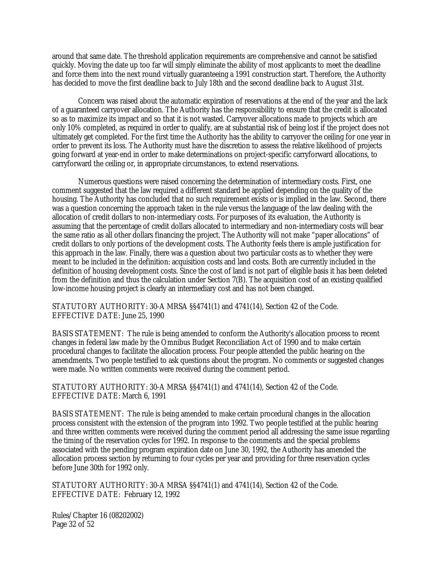around that same date. The threshold application requirements are comprehensive and cannot be satisfied quickly. Moving the date up too far will simply eliminate the ability of most applicants to meet the deadline and force them into the next round virtually guaranteeing a 1991 construction start. Therefore, the Authority has decided to move the first deadline back to July 18th and the second deadline back to August 31st.

Concern was raised about the automatic expiration of reservations at the end of the year and the lack of a guaranteed carryover allocation. The Authority has the responsibility to ensure that the credit is allocated so as to maximize its impact and so that it is not wasted. Carryover allocations made to projects which are only 10% completed, as required in order to qualify, are at substantial risk of being lost if the project does not ultimately get completed. For the first time the Authority has the ability to carryover the ceiling for one year in order to prevent its loss. The Authority must have the discretion to assess the relative likelihood of projects going forward at year-end in order to make determinations on project-specific carryforward allocations, to carryforward the ceiling or, in appropriate circumstances, to extend reservations.

Numerous questions were raised concerning the determination of intermediary costs. First, one comment suggested that the law required a different standard be applied depending on the quality of the housing. The Authority has concluded that no such requirement exists or is implied in the law. Second, there was a question concerning the approach taken in the rule versus the language of the law dealing with the allocation of credit dollars to non-intermediary costs. For purposes of its evaluation, the Authority is assuming that the percentage of credit dollars allocated to intermediary and non-intermediary costs will bear the same ratio as all other dollars financing the project. The Authority will not make "paper allocations" of credit dollars to only portions of the development costs. The Authority feels there is ample justification for this approach in the law. Finally, there was a question about two particular costs as to whether they were meant to be included in the definition: acquisition costs and land costs. Both are currently included in the definition of housing development costs. Since the cost of land is not part of eligible basis it has been deleted from the definition and thus the calculation under Section 7(B). The acquisition cost of an existing qualified low-income housing project is clearly an intermediary cost and has not been changed.

STATUTORY AUTHORITY: 30-A MRSA §§4741(1) and 4741(14), Section 42 of the Code. EFFECTIVE DATE: June 25, 1990

BASIS STATEMENT: The rule is being amended to conform the Authority's allocation process to recent changes in federal law made by the Omnibus Budget Reconciliation Act of 1990 and to make certain procedural changes to facilitate the allocation process. Four people attended the public hearing on the amendments. Two people testified to ask questions about the program. No comments or suggested changes were made. No written comments were received during the comment period.

STATUTORY AUTHORITY: 30-A MRSA §§4741(1) and 4741(14), Section 42 of the Code. EFFECTIVE DATE: March 6, 1991

BASIS STATEMENT: The rule is being amended to make certain procedural changes in the allocation process consistent with the extension of the program into 1992. Two people testified at the public hearing and three written comments were received during the comment period all addressing the same issue regarding the timing of the reservation cycles for 1992. In response to the comments and the special problems associated with the pending program expiration date on June 30, 1992, the Authority has amended the allocation process section by returning to four cycles per year and providing for three reservation cycles before June 30th for 1992 only.

STATUTORY AUTHORITY: 30-A MRSA §§4741(1) and 4741(14), Section 42 of the Code. EFFECTIVE DATE: February 12, 1992

Rules/Chapter 16 (08202002) Page 32 of 52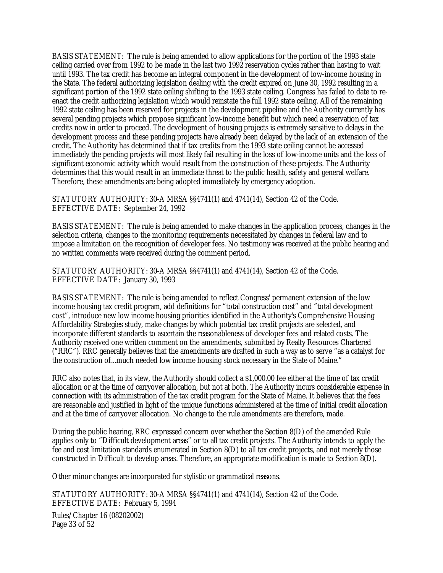BASIS STATEMENT: The rule is being amended to allow applications for the portion of the 1993 state ceiling carried over from 1992 to be made in the last two 1992 reservation cycles rather than having to wait until 1993. The tax credit has become an integral component in the development of low-income housing in the State. The federal authorizing legislation dealing with the credit expired on June 30, 1992 resulting in a significant portion of the 1992 state ceiling shifting to the 1993 state ceiling. Congress has failed to date to reenact the credit authorizing legislation which would reinstate the full 1992 state ceiling. All of the remaining 1992 state ceiling has been reserved for projects in the development pipeline and the Authority currently has several pending projects which propose significant low-income benefit but which need a reservation of tax credits now in order to proceed. The development of housing projects is extremely sensitive to delays in the development process and these pending projects have already been delayed by the lack of an extension of the credit. The Authority has determined that if tax credits from the 1993 state ceiling cannot be accessed immediately the pending projects will most likely fail resulting in the loss of low-income units and the loss of significant economic activity which would result from the construction of these projects. The Authority determines that this would result in an immediate threat to the public health, safety and general welfare. Therefore, these amendments are being adopted immediately by emergency adoption.

STATUTORY AUTHORITY: 30-A MRSA §§4741(1) and 4741(14), Section 42 of the Code. EFFECTIVE DATE: September 24, 1992

BASIS STATEMENT: The rule is being amended to make changes in the application process, changes in the selection criteria, changes to the monitoring requirements necessitated by changes in federal law and to impose a limitation on the recognition of developer fees. No testimony was received at the public hearing and no written comments were received during the comment period.

STATUTORY AUTHORITY: 30-A MRSA §§4741(1) and 4741(14), Section 42 of the Code. EFFECTIVE DATE: January 30, 1993

BASIS STATEMENT: The rule is being amended to reflect Congress' permanent extension of the low income housing tax credit program, add definitions for "total construction cost" and "total development cost", introduce new low income housing priorities identified in the Authority's Comprehensive Housing Affordability Strategies study, make changes by which potential tax credit projects are selected, and incorporate different standards to ascertain the reasonableness of developer fees and related costs. The Authority received one written comment on the amendments, submitted by Realty Resources Chartered ("RRC"). RRC generally believes that the amendments are drafted in such a way as to serve "as a catalyst for the construction of...much needed low income housing stock necessary in the State of Maine."

RRC also notes that, in its view, the Authority should collect a \$1,000.00 fee either at the time of tax credit allocation or at the time of carryover allocation, but not at both. The Authority incurs considerable expense in connection with its administration of the tax credit program for the State of Maine. It believes that the fees are reasonable and justified in light of the unique functions administered at the time of initial credit allocation and at the time of carryover allocation. No change to the rule amendments are therefore, made.

During the public hearing, RRC expressed concern over whether the Section 8(D) of the amended Rule applies only to "Difficult development areas" or to all tax credit projects. The Authority intends to apply the fee and cost limitation standards enumerated in Section 8(D) to all tax credit projects, and not merely those constructed in Difficult to develop areas. Therefore, an appropriate modification is made to Section 8(D).

Other minor changes are incorporated for stylistic or grammatical reasons.

Rules/Chapter 16 (08202002) Page 33 of 52 STATUTORY AUTHORITY: 30-A MRSA §§4741(1) and 4741(14), Section 42 of the Code. EFFECTIVE DATE: February 5, 1994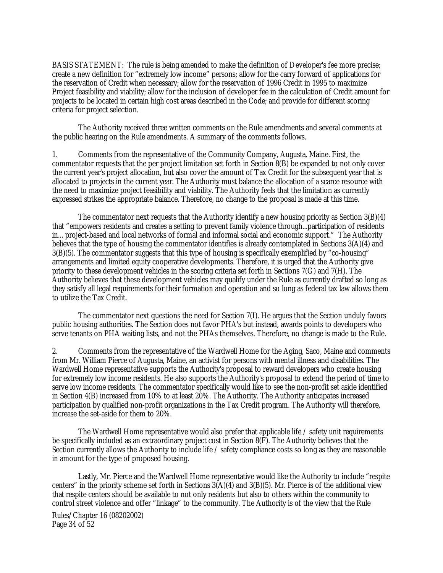BASIS STATEMENT: The rule is being amended to make the definition of Developer's fee more precise; create a new definition for "extremely low income" persons; allow for the carry forward of applications for the reservation of Credit when necessary; allow for the reservation of 1996 Credit in 1995 to maximize Project feasibility and viability; allow for the inclusion of developer fee in the calculation of Credit amount for projects to be located in certain high cost areas described in the Code; and provide for different scoring criteria for project selection.

The Authority received three written comments on the Rule amendments and several comments at the public hearing on the Rule amendments. A summary of the comments follows.

1. Comments from the representative of the Community Company, Augusta, Maine. First, the commentator requests that the per project limitation set forth in Section 8(B) be expanded to not only cover the current year's project allocation, but also cover the amount of Tax Credit for the subsequent year that is allocated to projects in the current year. The Authority must balance the allocation of a scarce resource with the need to maximize project feasibility and viability. The Authority feels that the limitation as currently expressed strikes the appropriate balance. Therefore, no change to the proposal is made at this time.

The commentator next requests that the Authority identify a new housing priority as Section 3(B)(4) that "empowers residents and creates a setting to prevent family violence through...participation of residents in... project-based and local networks of formal and informal social and economic support." The Authority believes that the type of housing the commentator identifies is already contemplated in Sections 3(A)(4) and 3(B)(5). The commentator suggests that this type of housing is specifically exemplified by "co-housing" arrangements and limited equity cooperative developments. Therefore, it is urged that the Authority give priority to these development vehicles in the scoring criteria set forth in Sections 7(G) and 7(H). The Authority believes that these development vehicles may qualify under the Rule as currently drafted so long as they satisfy all legal requirements for their formation and operation and so long as federal tax law allows them to utilize the Tax Credit.

The commentator next questions the need for Section 7(I). He argues that the Section unduly favors public housing authorities. The Section does not favor PHA's but instead, awards points to developers who serve tenants on PHA waiting lists, and not the PHAs themselves. Therefore, no change is made to the Rule.

2. Comments from the representative of the Wardwell Home for the Aging, Saco, Maine and comments from Mr. William Pierce of Augusta, Maine, an activist for persons with mental illness and disabilities. The Wardwell Home representative supports the Authority's proposal to reward developers who create housing for extremely low income residents. He also supports the Authority's proposal to extend the period of time to serve low income residents. The commentator specifically would like to see the non-profit set aside identified in Section 4(B) increased from 10% to at least 20%. The Authority. The Authority anticipates increased participation by qualified non-profit organizations in the Tax Credit program. The Authority will therefore, increase the set-aside for them to 20%.

The Wardwell Home representative would also prefer that applicable life / safety unit requirements be specifically included as an extraordinary project cost in Section 8(F). The Authority believes that the Section currently allows the Authority to include life / safety compliance costs so long as they are reasonable in amount for the type of proposed housing.

Lastly, Mr. Pierce and the Wardwell Home representative would like the Authority to include "respite centers" in the priority scheme set forth in Sections 3(A)(4) and 3(B)(5). Mr. Pierce is of the additional view that respite centers should be available to not only residents but also to others within the community to control street violence and offer "linkage" to the community. The Authority is of the view that the Rule

Rules/Chapter 16 (08202002) Page 34 of 52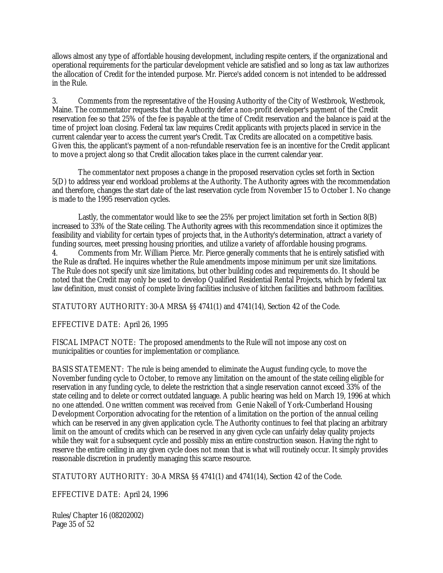allows almost any type of affordable housing development, including respite centers, if the organizational and operational requirements for the particular development vehicle are satisfied and so long as tax law authorizes the allocation of Credit for the intended purpose. Mr. Pierce's added concern is not intended to be addressed in the Rule.

3. Comments from the representative of the Housing Authority of the City of Westbrook, Westbrook, Maine. The commentator requests that the Authority defer a non-profit developer's payment of the Credit reservation fee so that 25% of the fee is payable at the time of Credit reservation and the balance is paid at the time of project loan closing. Federal tax law requires Credit applicants with projects placed in service in the current calendar year to access the current year's Credit. Tax Credits are allocated on a competitive basis. Given this, the applicant's payment of a non-refundable reservation fee is an incentive for the Credit applicant to move a project along so that Credit allocation takes place in the current calendar year.

The commentator next proposes a change in the proposed reservation cycles set forth in Section 5(D) to address year end workload problems at the Authority. The Authority agrees with the recommendation and therefore, changes the start date of the last reservation cycle from November 15 to October 1. No change is made to the 1995 reservation cycles.

Lastly, the commentator would like to see the 25% per project limitation set forth in Section 8(B) increased to 33% of the State ceiling. The Authority agrees with this recommendation since it optimizes the feasibility and viability for certain types of projects that, in the Authority's determination, attract a variety of funding sources, meet pressing housing priorities, and utilize a variety of affordable housing programs. 4. Comments from Mr. William Pierce. Mr. Pierce generally comments that he is entirely satisfied with the Rule as drafted. He inquires whether the Rule amendments impose minimum per unit size limitations. The Rule does not specify unit size limitations, but other building codes and requirements do. It should be noted that the Credit may only be used to develop Qualified Residential Rental Projects, which by federal tax law definition, must consist of complete living facilities inclusive of kitchen facilities and bathroom facilities.

STATUTORY AUTHORITY: 30-A MRSA §§ 4741(1) and 4741(14), Section 42 of the Code.

EFFECTIVE DATE: April 26, 1995

FISCAL IMPACT NOTE: The proposed amendments to the Rule will not impose any cost on municipalities or counties for implementation or compliance.

BASIS STATEMENT: The rule is being amended to eliminate the August funding cycle, to move the November funding cycle to October, to remove any limitation on the amount of the state ceiling eligible for reservation in any funding cycle, to delete the restriction that a single reservation cannot exceed 33% of the state ceiling and to delete or correct outdated language. A public hearing was held on March 19, 1996 at which no one attended. One written comment was received from Genie Nakell of York-Cumberland Housing Development Corporation advocating for the retention of a limitation on the portion of the annual ceiling which can be reserved in any given application cycle. The Authority continues to feel that placing an arbitrary limit on the amount of credits which can be reserved in any given cycle can unfairly delay quality projects while they wait for a subsequent cycle and possibly miss an entire construction season. Having the right to reserve the entire ceiling in any given cycle does not mean that is what will routinely occur. It simply provides reasonable discretion in prudently managing this scarce resource.

STATUTORY AUTHORITY: 30-A MRSA §§ 4741(1) and 4741(14), Section 42 of the Code.

EFFECTIVE DATE: April 24, 1996

Rules/Chapter 16 (08202002) Page 35 of 52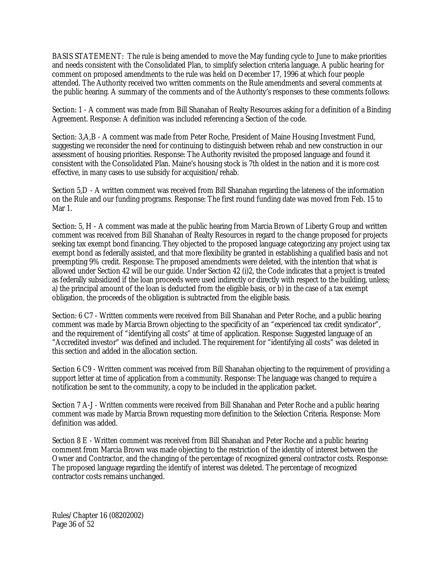BASIS STATEMENT: The rule is being amended to move the May funding cycle to June to make priorities and needs consistent with the Consolidated Plan, to simplify selection criteria language. A public hearing for comment on proposed amendments to the rule was held on December 17, 1996 at which four people attended. The Authority received two written comments on the Rule amendments and several comments at the public hearing. A summary of the comments and of the Authority's responses to these comments follows:

Section: 1 - A comment was made from Bill Shanahan of Realty Resources asking for a definition of a Binding Agreement. Response: A definition was included referencing a Section of the code.

Section: 3,A,B - A comment was made from Peter Roche, President of Maine Housing Investment Fund, suggesting we reconsider the need for continuing to distinguish between rehab and new construction in our assessment of housing priorities. Response: The Authority revisited the proposed language and found it consistent with the Consolidated Plan. Maine's housing stock is 7th oldest in the nation and it is more cost effective, in many cases to use subsidy for acquisition/rehab.

Section 5,D - A written comment was received from Bill Shanahan regarding the lateness of the information on the Rule and our funding programs. Response: The first round funding date was moved from Feb. 15 to Mar 1.

Section: 5, H - A comment was made at the public hearing from Marcia Brown of Liberty Group and written comment was received from Bill Shanahan of Realty Resources in regard to the change proposed for projects seeking tax exempt bond financing. They objected to the proposed language categorizing any project using tax exempt bond as federally assisted, and that more flexibility be granted in establishing a qualified basis and not preempting 9% credit. Response: The proposed amendments were deleted, with the intention that what is allowed under Section 42 will be our guide. Under Section 42 (i)2, the Code indicates that a project is treated as federally subsidized if the loan proceeds were used indirectly or directly with respect to the building, unless; a) the principal amount of the loan is deducted from the eligible basis, or b) in the case of a tax exempt obligation, the proceeds of the obligation is subtracted from the eligible basis.

Section: 6 C7 - Written comments were received from Bill Shanahan and Peter Roche, and a public hearing comment was made by Marcia Brown objecting to the specificity of an "experienced tax credit syndicator", and the requirement of "identifying all costs" at time of application. Response: Suggested language of an "Accredited investor" was defined and included. The requirement for "identifying all costs" was deleted in this section and added in the allocation section.

Section 6 C9 - Written comment was received from Bill Shanahan objecting to the requirement of providing a support letter at time of application from a community. Response: The language was changed to require a notification be sent to the community, a copy to be included in the application packet.

Section 7 A-J - Written comments were received from Bill Shanahan and Peter Roche and a public hearing comment was made by Marcia Brown requesting more definition to the Selection Criteria. Response: More definition was added.

Section 8 E - Written comment was received from Bill Shanahan and Peter Roche and a public hearing comment from Marcia Brown was made objecting to the restriction of the identity of interest between the Owner and Contractor, and the changing of the percentage of recognized general contractor costs. Response: The proposed language regarding the identify of interest was deleted. The percentage of recognized contractor costs remains unchanged.

Rules/Chapter 16 (08202002) Page 36 of 52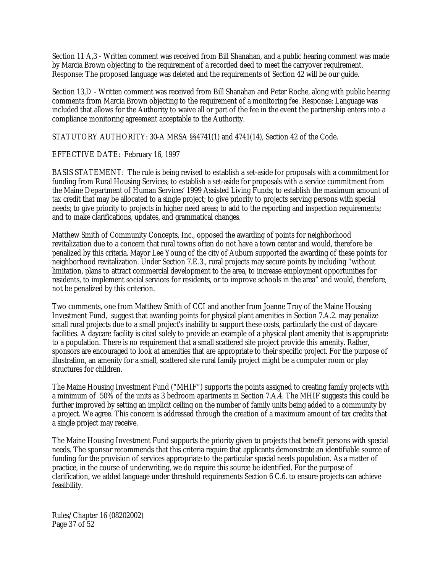Section 11 A,3 - Written comment was received from Bill Shanahan, and a public hearing comment was made by Marcia Brown objecting to the requirement of a recorded deed to meet the carryover requirement. Response: The proposed language was deleted and the requirements of Section 42 will be our guide.

Section 13,D - Written comment was received from Bill Shanahan and Peter Roche, along with public hearing comments from Marcia Brown objecting to the requirement of a monitoring fee. Response: Language was included that allows for the Authority to waive all or part of the fee in the event the partnership enters into a compliance monitoring agreement acceptable to the Authority.

STATUTORY AUTHORITY: 30-A MRSA §§4741(1) and 4741(14), Section 42 of the Code.

# EFFECTIVE DATE: February 16, 1997

BASIS STATEMENT: The rule is being revised to establish a set-aside for proposals with a commitment for funding from Rural Housing Services; to establish a set-aside for proposals with a service commitment from the Maine Department of Human Services' 1999 Assisted Living Funds; to establish the maximum amount of tax credit that may be allocated to a single project; to give priority to projects serving persons with special needs; to give priority to projects in higher need areas; to add to the reporting and inspection requirements; and to make clarifications, updates, and grammatical changes.

Matthew Smith of Community Concepts, Inc., opposed the awarding of points for neighborhood revitalization due to a concern that rural towns often do not have a town center and would, therefore be penalized by this criteria. Mayor Lee Young of the city of Auburn supported the awarding of these points for neighborhood revitalization. Under Section 7.E.3., rural projects may secure points by including "without limitation, plans to attract commercial development to the area, to increase employment opportunities for residents, to implement social services for residents, or to improve schools in the area" and would, therefore, not be penalized by this criterion.

Two comments, one from Matthew Smith of CCI and another from Joanne Troy of the Maine Housing Investment Fund, suggest that awarding points for physical plant amenities in Section 7.A.2. may penalize small rural projects due to a small project's inability to support these costs, particularly the cost of daycare facilities. A daycare facility is cited solely to provide an example of a physical plant amenity that is appropriate to a population. There is no requirement that a small scattered site project provide this amenity. Rather, sponsors are encouraged to look at amenities that are appropriate to their specific project. For the purpose of illustration, an amenity for a small, scattered site rural family project might be a computer room or play structures for children.

The Maine Housing Investment Fund ("MHIF") supports the points assigned to creating family projects with a minimum of 50% of the units as 3 bedroom apartments in Section 7.A.4. The MHIF suggests this could be further improved by setting an implicit ceiling on the number of family units being added to a community by a project. We agree. This concern is addressed through the creation of a maximum amount of tax credits that a single project may receive.

The Maine Housing Investment Fund supports the priority given to projects that benefit persons with special needs. The sponsor recommends that this criteria require that applicants demonstrate an identifiable source of funding for the provision of services appropriate to the particular special needs population. As a matter of practice, in the course of underwriting, we do require this source be identified. For the purpose of clarification, we added language under threshold requirements Section 6 C.6. to ensure projects can achieve feasibility.

Rules/Chapter 16 (08202002) Page 37 of 52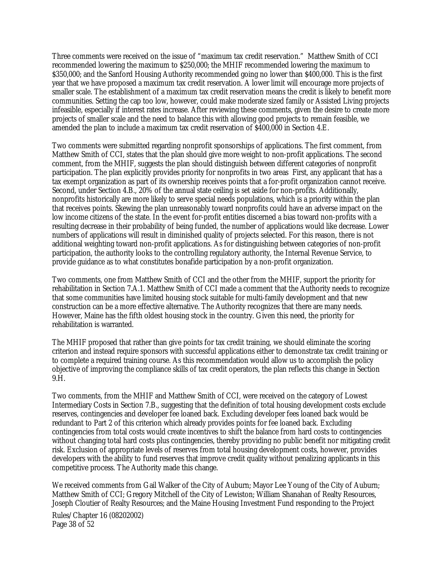Three comments were received on the issue of "maximum tax credit reservation." Matthew Smith of CCI recommended lowering the maximum to \$250,000; the MHIF recommended lowering the maximum to \$350,000; and the Sanford Housing Authority recommended going no lower than \$400,000. This is the first year that we have proposed a maximum tax credit reservation. A lower limit will encourage more projects of smaller scale. The establishment of a maximum tax credit reservation means the credit is likely to benefit more communities. Setting the cap too low, however, could make moderate sized family or Assisted Living projects infeasible, especially if interest rates increase. After reviewing these comments, given the desire to create more projects of smaller scale and the need to balance this with allowing good projects to remain feasible, we amended the plan to include a maximum tax credit reservation of \$400,000 in Section 4.E.

Two comments were submitted regarding nonprofit sponsorships of applications. The first comment, from Matthew Smith of CCI, states that the plan should give more weight to non-profit applications. The second comment, from the MHIF, suggests the plan should distinguish between different categories of nonprofit participation. The plan explicitly provides priority for nonprofits in two areas First, any applicant that has a tax exempt organization as part of its ownership receives points that a for-profit organization cannot receive. Second, under Section 4.B., 20% of the annual state ceiling is set aside for non-profits. Additionally, nonprofits historically are more likely to serve special needs populations, which is a priority within the plan that receives points. Skewing the plan unreasonably toward nonprofits could have an adverse impact on the low income citizens of the state. In the event for-profit entities discerned a bias toward non-profits with a resulting decrease in their probability of being funded, the number of applications would like decrease. Lower numbers of applications will result in diminished quality of projects selected. For this reason, there is not additional weighting toward non-profit applications. As for distinguishing between categories of non-profit participation, the authority looks to the controlling regulatory authority, the Internal Revenue Service, to provide guidance as to what constitutes bonafide participation by a non-profit organization.

Two comments, one from Matthew Smith of CCI and the other from the MHIF, support the priority for rehabilitation in Section 7.A.1. Matthew Smith of CCI made a comment that the Authority needs to recognize that some communities have limited housing stock suitable for multi-family development and that new construction can be a more effective alternative. The Authority recognizes that there are many needs. However, Maine has the fifth oldest housing stock in the country. Given this need, the priority for rehabilitation is warranted.

The MHIF proposed that rather than give points for tax credit training, we should eliminate the scoring criterion and instead require sponsors with successful applications either to demonstrate tax credit training or to complete a required training course. As this recommendation would allow us to accomplish the policy objective of improving the compliance skills of tax credit operators, the plan reflects this change in Section 9.H.

Two comments, from the MHIF and Matthew Smith of CCI, were received on the category of Lowest Intermediary Costs in Section 7.B., suggesting that the definition of total housing development costs exclude reserves, contingencies and developer fee loaned back. Excluding developer fees loaned back would be redundant to Part 2 of this criterion which already provides points for fee loaned back. Excluding contingencies from total costs would create incentives to shift the balance from hard costs to contingencies without changing total hard costs plus contingencies, thereby providing no public benefit nor mitigating credit risk. Exclusion of appropriate levels of reserves from total housing development costs, however, provides developers with the ability to fund reserves that improve credit quality without penalizing applicants in this competitive process. The Authority made this change.

We received comments from Gail Walker of the City of Auburn; Mayor Lee Young of the City of Auburn; Matthew Smith of CCI; Gregory Mitchell of the City of Lewiston; William Shanahan of Realty Resources, Joseph Cloutier of Realty Resources; and the Maine Housing Investment Fund responding to the Project

Rules/Chapter 16 (08202002) Page 38 of 52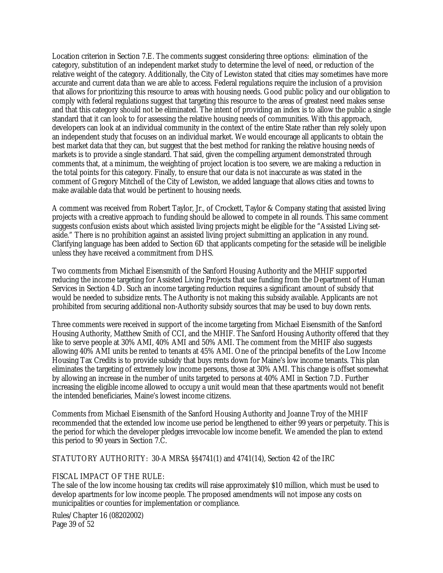Location criterion in Section 7.E. The comments suggest considering three options: elimination of the category, substitution of an independent market study to determine the level of need, or reduction of the relative weight of the category. Additionally, the City of Lewiston stated that cities may sometimes have more accurate and current data than we are able to access. Federal regulations require the inclusion of a provision that allows for prioritizing this resource to areas with housing needs. Good public policy and our obligation to comply with federal regulations suggest that targeting this resource to the areas of greatest need makes sense and that this category should not be eliminated. The intent of providing an index is to allow the public a single standard that it can look to for assessing the relative housing needs of communities. With this approach, developers can look at an individual community in the context of the entire State rather than rely solely upon an independent study that focuses on an individual market. We would encourage all applicants to obtain the best market data that they can, but suggest that the best method for ranking the relative housing needs of markets is to provide a single standard. That said, given the compelling argument demonstrated through comments that, at a minimum, the weighting of project location is too severe, we are making a reduction in the total points for this category. Finally, to ensure that our data is not inaccurate as was stated in the comment of Gregory Mitchell of the City of Lewiston, we added language that allows cities and towns to make available data that would be pertinent to housing needs.

A comment was received from Robert Taylor, Jr., of Crockett, Taylor & Company stating that assisted living projects with a creative approach to funding should be allowed to compete in all rounds. This same comment suggests confusion exists about which assisted living projects might be eligible for the "Assisted Living setaside." There is no prohibition against an assisted living project submitting an application in any round. Clarifying language has been added to Section 6D that applicants competing for the setaside will be ineligible unless they have received a commitment from DHS.

Two comments from Michael Eisensmith of the Sanford Housing Authority and the MHIF supported reducing the income targeting for Assisted Living Projects that use funding from the Department of Human Services in Section 4.D. Such an income targeting reduction requires a significant amount of subsidy that would be needed to subsidize rents. The Authority is not making this subsidy available. Applicants are not prohibited from securing additional non-Authority subsidy sources that may be used to buy down rents.

Three comments were received in support of the income targeting from Michael Eisensmith of the Sanford Housing Authority, Matthew Smith of CCI, and the MHIF. The Sanford Housing Authority offered that they like to serve people at 30% AMI, 40% AMI and 50% AMI. The comment from the MHIF also suggests allowing 40% AMI units be rented to tenants at 45% AMI. One of the principal benefits of the Low Income Housing Tax Credits is to provide subsidy that buys rents down for Maine's low income tenants. This plan eliminates the targeting of extremely low income persons, those at 30% AMI. This change is offset somewhat by allowing an increase in the number of units targeted to persons at 40% AMI in Section 7.D. Further increasing the eligible income allowed to occupy a unit would mean that these apartments would not benefit the intended beneficiaries, Maine's lowest income citizens.

Comments from Michael Eisensmith of the Sanford Housing Authority and Joanne Troy of the MHIF recommended that the extended low income use period be lengthened to either 99 years or perpetuity. This is the period for which the developer pledges irrevocable low income benefit. We amended the plan to extend this period to 90 years in Section 7.C.

STATUTORY AUTHORITY: 30-A MRSA §§4741(1) and 4741(14), Section 42 of the IRC

#### FISCAL IMPACT OF THE RULE:

The sale of the low income housing tax credits will raise approximately \$10 million, which must be used to develop apartments for low income people. The proposed amendments will not impose any costs on municipalities or counties for implementation or compliance.

Rules/Chapter 16 (08202002) Page 39 of 52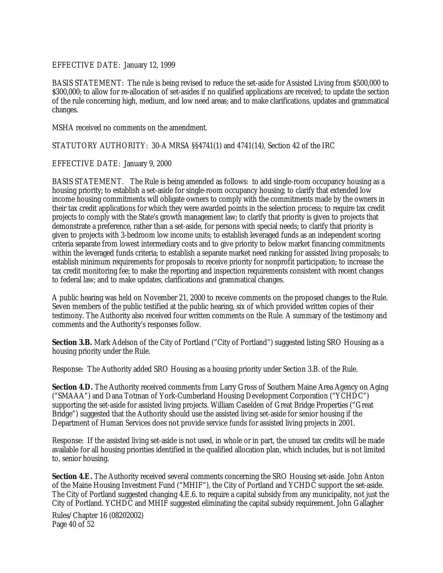#### EFFECTIVE DATE: January 12, 1999

BASIS STATEMENT: The rule is being revised to reduce the set-aside for Assisted Living from \$500,000 to \$300,000; to allow for re-allocation of set-asides if no qualified applications are received; to update the section of the rule concerning high, medium, and low need areas; and to make clarifications, updates and grammatical changes.

MSHA received no comments on the amendment.

STATUTORY AUTHORITY: 30-A MRSA §§4741(1) and 4741(14), Section 42 of the IRC

#### EFFECTIVE DATE: January 9, 2000

BASIS STATEMENT. The Rule is being amended as follows: to add single-room occupancy housing as a housing priority; to establish a set-aside for single-room occupancy housing; to clarify that extended low income housing commitments will obligate owners to comply with the commitments made by the owners in their tax credit applications for which they were awarded points in the selection process; to require tax credit projects to comply with the State's growth management law; to clarify that priority is given to projects that demonstrate a preference, rather than a set-aside, for persons with special needs; to clarify that priority is given to projects with 3-bedroom low income units; to establish leveraged funds as an independent scoring criteria separate from lowest intermediary costs and to give priority to below market financing commitments within the leveraged funds criteria; to establish a separate market need ranking for assisted living proposals; to establish minimum requirements for proposals to receive priority for nonprofit participation; to increase the tax credit monitoring fee; to make the reporting and inspection requirements consistent with recent changes to federal law; and to make updates, clarifications and grammatical changes.

A public hearing was held on November 21, 2000 to receive comments on the proposed changes to the Rule. Seven members of the public testified at the public hearing, six of which provided written copies of their testimony. The Authority also received four written comments on the Rule. A summary of the testimony and comments and the Authority's responses follow.

**Section 3.B.** Mark Adelson of the City of Portland ("City of Portland") suggested listing SRO Housing as a housing priority under the Rule.

Response: The Authority added SRO Housing as a housing priority under Section 3.B. of the Rule.

**Section 4.D.** The Authority received comments from Larry Gross of Southern Maine Area Agency on Aging ("SMAAA") and Dana Totman of York-Cumberland Housing Development Corporation ("YCHDC") supporting the set-aside for assisted living projects. William Caselden of Great Bridge Properties ("Great Bridge") suggested that the Authority should use the assisted living set-aside for senior housing if the Department of Human Services does not provide service funds for assisted living projects in 2001.

Response: If the assisted living set-aside is not used, in whole or in part, the unused tax credits will be made available for all housing priorities identified in the qualified allocation plan, which includes, but is not limited to, senior housing.

**Section 4.E.** The Authority received several comments concerning the SRO Housing set-aside. John Anton of the Maine Housing Investment Fund ("MHIF"), the City of Portland and YCHDC support the set-aside. The City of Portland suggested changing 4.E.6. to require a capital subsidy from any municipality, not just the City of Portland. YCHDC and MHIF suggested eliminating the capital subsidy requirement. John Gallagher

Rules/Chapter 16 (08202002) Page 40 of 52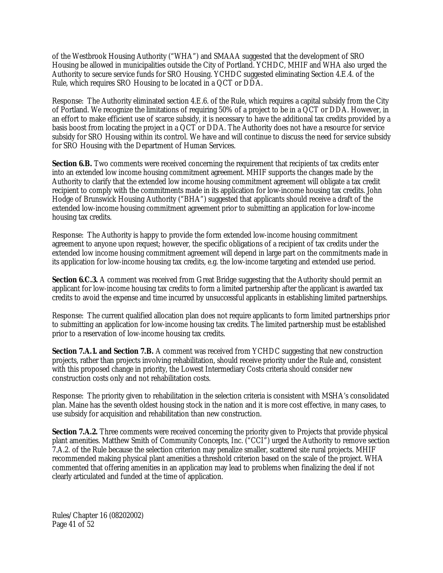of the Westbrook Housing Authority ("WHA") and SMAAA suggested that the development of SRO Housing be allowed in municipalities outside the City of Portland. YCHDC, MHIF and WHA also urged the Authority to secure service funds for SRO Housing. YCHDC suggested eliminating Section 4.E.4. of the Rule, which requires SRO Housing to be located in a QCT or DDA.

Response: The Authority eliminated section 4.E.6. of the Rule, which requires a capital subsidy from the City of Portland. We recognize the limitations of requiring 50% of a project to be in a QCT or DDA. However, in an effort to make efficient use of scarce subsidy, it is necessary to have the additional tax credits provided by a basis boost from locating the project in a QCT or DDA. The Authority does not have a resource for service subsidy for SRO Housing within its control. We have and will continue to discuss the need for service subsidy for SRO Housing with the Department of Human Services.

**Section 6.B.** Two comments were received concerning the requirement that recipients of tax credits enter into an extended low income housing commitment agreement. MHIF supports the changes made by the Authority to clarify that the extended low income housing commitment agreement will obligate a tax credit recipient to comply with the commitments made in its application for low-income housing tax credits. John Hodge of Brunswick Housing Authority ("BHA") suggested that applicants should receive a draft of the extended low-income housing commitment agreement prior to submitting an application for low-income housing tax credits.

Response: The Authority is happy to provide the form extended low-income housing commitment agreement to anyone upon request; however, the specific obligations of a recipient of tax credits under the extended low income housing commitment agreement will depend in large part on the commitments made in its application for low-income housing tax credits, e.g. the low-income targeting and extended use period.

**Section 6.C.3.** A comment was received from Great Bridge suggesting that the Authority should permit an applicant for low-income housing tax credits to form a limited partnership after the applicant is awarded tax credits to avoid the expense and time incurred by unsuccessful applicants in establishing limited partnerships.

Response: The current qualified allocation plan does not require applicants to form limited partnerships prior to submitting an application for low-income housing tax credits. The limited partnership must be established prior to a reservation of low-income housing tax credits.

**Section 7.A.1. and Section 7.B.** A comment was received from YCHDC suggesting that new construction projects, rather than projects involving rehabilitation, should receive priority under the Rule and, consistent with this proposed change in priority, the Lowest Intermediary Costs criteria should consider new construction costs only and not rehabilitation costs.

Response: The priority given to rehabilitation in the selection criteria is consistent with MSHA's consolidated plan. Maine has the seventh oldest housing stock in the nation and it is more cost effective, in many cases, to use subsidy for acquisition and rehabilitation than new construction.

**Section 7.A.2.** Three comments were received concerning the priority given to Projects that provide physical plant amenities. Matthew Smith of Community Concepts, Inc. ("CCI") urged the Authority to remove section 7.A.2. of the Rule because the selection criterion may penalize smaller, scattered site rural projects. MHIF recommended making physical plant amenities a threshold criterion based on the scale of the project. WHA commented that offering amenities in an application may lead to problems when finalizing the deal if not clearly articulated and funded at the time of application.

Rules/Chapter 16 (08202002) Page 41 of 52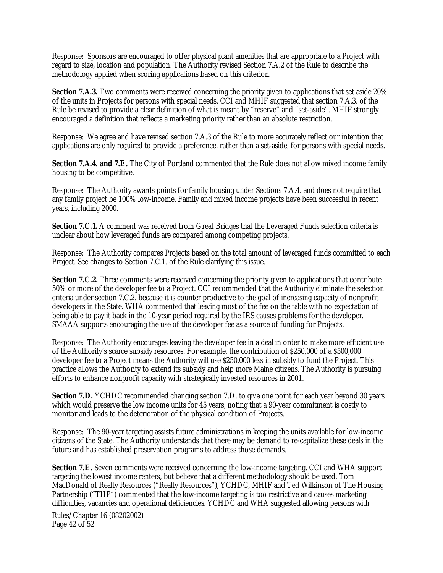Response: Sponsors are encouraged to offer physical plant amenities that are appropriate to a Project with regard to size, location and population. The Authority revised Section 7.A.2 of the Rule to describe the methodology applied when scoring applications based on this criterion.

**Section 7.A.3.** Two comments were received concerning the priority given to applications that set aside 20% of the units in Projects for persons with special needs. CCI and MHIF suggested that section 7.A.3. of the Rule be revised to provide a clear definition of what is meant by "reserve" and "set-aside". MHIF strongly encouraged a definition that reflects a marketing priority rather than an absolute restriction.

Response: We agree and have revised section 7.A.3 of the Rule to more accurately reflect our intention that applications are only required to provide a preference, rather than a set-aside, for persons with special needs.

**Section 7.A.4. and 7.E.** The City of Portland commented that the Rule does not allow mixed income family housing to be competitive.

Response: The Authority awards points for family housing under Sections 7.A.4. and does not require that any family project be 100% low-income. Family and mixed income projects have been successful in recent years, including 2000.

**Section 7.C.1.** A comment was received from Great Bridges that the Leveraged Funds selection criteria is unclear about how leveraged funds are compared among competing projects.

Response: The Authority compares Projects based on the total amount of leveraged funds committed to each Project. See changes to Section 7.C.1. of the Rule clarifying this issue.

**Section 7.C.2.** Three comments were received concerning the priority given to applications that contribute 50% or more of the developer fee to a Project. CCI recommended that the Authority eliminate the selection criteria under section 7.C.2. because it is counter productive to the goal of increasing capacity of nonprofit developers in the State. WHA commented that leaving most of the fee on the table with no expectation of being able to pay it back in the 10-year period required by the IRS causes problems for the developer. SMAAA supports encouraging the use of the developer fee as a source of funding for Projects.

Response: The Authority encourages leaving the developer fee in a deal in order to make more efficient use of the Authority's scarce subsidy resources. For example, the contribution of \$250,000 of a \$500,000 developer fee to a Project means the Authority will use \$250,000 less in subsidy to fund the Project. This practice allows the Authority to extend its subsidy and help more Maine citizens. The Authority is pursuing efforts to enhance nonprofit capacity with strategically invested resources in 2001.

**Section 7.D.** YCHDC recommended changing section 7.D. to give one point for each year beyond 30 years which would preserve the low income units for 45 years, noting that a 90-year commitment is costly to monitor and leads to the deterioration of the physical condition of Projects.

Response: The 90-year targeting assists future administrations in keeping the units available for low-income citizens of the State. The Authority understands that there may be demand to re-capitalize these deals in the future and has established preservation programs to address those demands.

**Section 7.E.** Seven comments were received concerning the low-income targeting. CCI and WHA support targeting the lowest income renters, but believe that a different methodology should be used. Tom MacDonald of Realty Resources ("Realty Resources"), YCHDC, MHIF and Ted Wilkinson of The Housing Partnership ("THP") commented that the low-income targeting is too restrictive and causes marketing difficulties, vacancies and operational deficiencies. YCHDC and WHA suggested allowing persons with

Rules/Chapter 16 (08202002) Page 42 of 52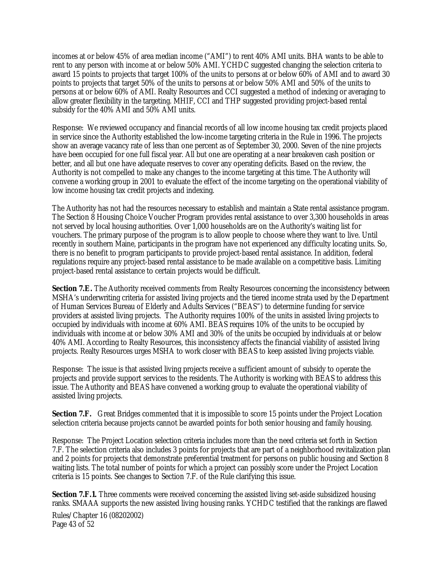incomes at or below 45% of area median income ("AMI") to rent 40% AMI units. BHA wants to be able to rent to any person with income at or below 50% AMI. YCHDC suggested changing the selection criteria to award 15 points to projects that target 100% of the units to persons at or below 60% of AMI and to award 30 points to projects that target 50% of the units to persons at or below 50% AMI and 50% of the units to persons at or below 60% of AMI. Realty Resources and CCI suggested a method of indexing or averaging to allow greater flexibility in the targeting. MHIF, CCI and THP suggested providing project-based rental subsidy for the 40% AMI and 50% AMI units.

Response: We reviewed occupancy and financial records of all low income housing tax credit projects placed in service since the Authority established the low-income targeting criteria in the Rule in 1996. The projects show an average vacancy rate of less than one percent as of September 30, 2000. Seven of the nine projects have been occupied for one full fiscal year. All but one are operating at a near breakeven cash position or better, and all but one have adequate reserves to cover any operating deficits. Based on the review, the Authority is not compelled to make any changes to the income targeting at this time. The Authority will convene a working group in 2001 to evaluate the effect of the income targeting on the operational viability of low income housing tax credit projects and indexing.

The Authority has not had the resources necessary to establish and maintain a State rental assistance program. The Section 8 Housing Choice Voucher Program provides rental assistance to over 3,300 households in areas not served by local housing authorities. Over 1,000 households are on the Authority's waiting list for vouchers. The primary purpose of the program is to allow people to choose where they want to live. Until recently in southern Maine, participants in the program have not experienced any difficulty locating units. So, there is no benefit to program participants to provide project-based rental assistance. In addition, federal regulations require any project-based rental assistance to be made available on a competitive basis. Limiting project-based rental assistance to certain projects would be difficult.

**Section 7.E.** The Authority received comments from Realty Resources concerning the inconsistency between MSHA's underwriting criteria for assisted living projects and the tiered income strata used by the Department of Human Services Bureau of Elderly and Adults Services ("BEAS") to determine funding for service providers at assisted living projects. The Authority requires 100% of the units in assisted living projects to occupied by individuals with income at 60% AMI. BEAS requires 10% of the units to be occupied by individuals with income at or below 30% AMI and 30% of the units be occupied by individuals at or below 40% AMI. According to Realty Resources, this inconsistency affects the financial viability of assisted living projects. Realty Resources urges MSHA to work closer with BEAS to keep assisted living projects viable.

Response: The issue is that assisted living projects receive a sufficient amount of subsidy to operate the projects and provide support services to the residents. The Authority is working with BEAS to address this issue. The Authority and BEAS have convened a working group to evaluate the operational viability of assisted living projects.

**Section 7.F.** Great Bridges commented that it is impossible to score 15 points under the Project Location selection criteria because projects cannot be awarded points for both senior housing and family housing.

Response: The Project Location selection criteria includes more than the need criteria set forth in Section 7.F. The selection criteria also includes 3 points for projects that are part of a neighborhood revitalization plan and 2 points for projects that demonstrate preferential treatment for persons on public housing and Section 8 waiting lists. The total number of points for which a project can possibly score under the Project Location criteria is 15 points. See changes to Section 7.F. of the Rule clarifying this issue.

**Section 7.F.1.** Three comments were received concerning the assisted living set-aside subsidized housing ranks. SMAAA supports the new assisted living housing ranks. YCHDC testified that the rankings are flawed

Rules/Chapter 16 (08202002) Page 43 of 52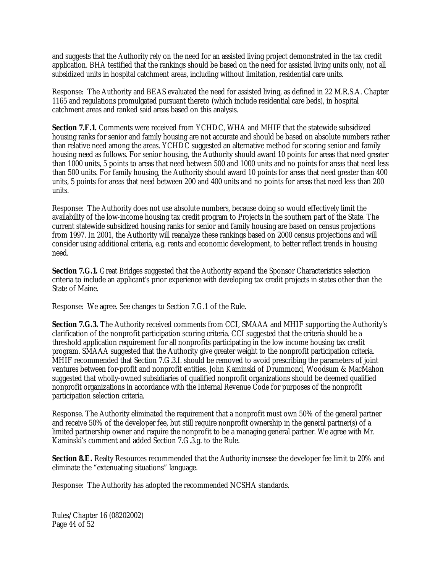and suggests that the Authority rely on the need for an assisted living project demonstrated in the tax credit application. BHA testified that the rankings should be based on the need for assisted living units only, not all subsidized units in hospital catchment areas, including without limitation, residential care units.

Response: The Authority and BEAS evaluated the need for assisted living, as defined in 22 M.R.S.A. Chapter 1165 and regulations promulgated pursuant thereto (which include residential care beds), in hospital catchment areas and ranked said areas based on this analysis.

**Section 7.F.1.** Comments were received from YCHDC, WHA and MHIF that the statewide subsidized housing ranks for senior and family housing are not accurate and should be based on absolute numbers rather than relative need among the areas. YCHDC suggested an alternative method for scoring senior and family housing need as follows. For senior housing, the Authority should award 10 points for areas that need greater than 1000 units, 5 points to areas that need between 500 and 1000 units and no points for areas that need less than 500 units. For family housing, the Authority should award 10 points for areas that need greater than 400 units, 5 points for areas that need between 200 and 400 units and no points for areas that need less than 200 units.

Response: The Authority does not use absolute numbers, because doing so would effectively limit the availability of the low-income housing tax credit program to Projects in the southern part of the State. The current statewide subsidized housing ranks for senior and family housing are based on census projections from 1997. In 2001, the Authority will reanalyze these rankings based on 2000 census projections and will consider using additional criteria, e.g. rents and economic development, to better reflect trends in housing need.

**Section 7.G.1.** Great Bridges suggested that the Authority expand the Sponsor Characteristics selection criteria to include an applicant's prior experience with developing tax credit projects in states other than the State of Maine.

Response: We agree. See changes to Section 7.G.1 of the Rule.

**Section 7.G.3.** The Authority received comments from CCI, SMAAA and MHIF supporting the Authority's clarification of the nonprofit participation scoring criteria. CCI suggested that the criteria should be a threshold application requirement for all nonprofits participating in the low income housing tax credit program. SMAAA suggested that the Authority give greater weight to the nonprofit participation criteria. MHIF recommended that Section 7.G.3.f. should be removed to avoid prescribing the parameters of joint ventures between for-profit and nonprofit entities. John Kaminski of Drummond, Woodsum & MacMahon suggested that wholly-owned subsidiaries of qualified nonprofit organizations should be deemed qualified nonprofit organizations in accordance with the Internal Revenue Code for purposes of the nonprofit participation selection criteria.

Response. The Authority eliminated the requirement that a nonprofit must own 50% of the general partner and receive 50% of the developer fee, but still require nonprofit ownership in the general partner(s) of a limited partnership owner and require the nonprofit to be a managing general partner. We agree with Mr. Kaminski's comment and added Section 7.G.3.g. to the Rule.

**Section 8.E.** Realty Resources recommended that the Authority increase the developer fee limit to 20% and eliminate the "extenuating situations" language.

Response: The Authority has adopted the recommended NCSHA standards.

Rules/Chapter 16 (08202002) Page 44 of 52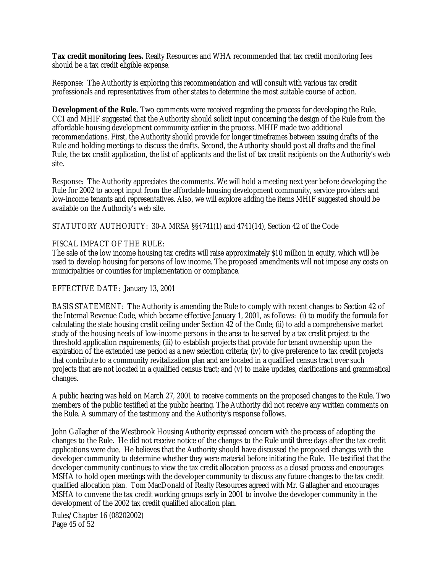**Tax credit monitoring fees.** Realty Resources and WHA recommended that tax credit monitoring fees should be a tax credit eligible expense.

Response: The Authority is exploring this recommendation and will consult with various tax credit professionals and representatives from other states to determine the most suitable course of action.

**Development of the Rule.** Two comments were received regarding the process for developing the Rule. CCI and MHIF suggested that the Authority should solicit input concerning the design of the Rule from the affordable housing development community earlier in the process. MHIF made two additional recommendations. First, the Authority should provide for longer timeframes between issuing drafts of the Rule and holding meetings to discuss the drafts. Second, the Authority should post all drafts and the final Rule, the tax credit application, the list of applicants and the list of tax credit recipients on the Authority's web site.

Response: The Authority appreciates the comments. We will hold a meeting next year before developing the Rule for 2002 to accept input from the affordable housing development community, service providers and low-income tenants and representatives. Also, we will explore adding the items MHIF suggested should be available on the Authority's web site.

STATUTORY AUTHORITY: 30-A MRSA §§4741(1) and 4741(14), Section 42 of the Code

#### FISCAL IMPACT OF THE RULE:

The sale of the low income housing tax credits will raise approximately \$10 million in equity, which will be used to develop housing for persons of low income. The proposed amendments will not impose any costs on municipalities or counties for implementation or compliance.

#### EFFECTIVE DATE: January 13, 2001

BASIS STATEMENT: The Authority is amending the Rule to comply with recent changes to Section 42 of the Internal Revenue Code, which became effective January 1, 2001, as follows: (i) to modify the formula for calculating the state housing credit ceiling under Section 42 of the Code; (ii) to add a comprehensive market study of the housing needs of low-income persons in the area to be served by a tax credit project to the threshold application requirements; (iii) to establish projects that provide for tenant ownership upon the expiration of the extended use period as a new selection criteria; (iv) to give preference to tax credit projects that contribute to a community revitalization plan and are located in a qualified census tract over such projects that are not located in a qualified census tract; and (v) to make updates, clarifications and grammatical changes.

A public hearing was held on March 27, 2001 to receive comments on the proposed changes to the Rule. Two members of the public testified at the public hearing. The Authority did not receive any written comments on the Rule. A summary of the testimony and the Authority's response follows.

John Gallagher of the Westbrook Housing Authority expressed concern with the process of adopting the changes to the Rule. He did not receive notice of the changes to the Rule until three days after the tax credit applications were due. He believes that the Authority should have discussed the proposed changes with the developer community to determine whether they were material before initiating the Rule. He testified that the developer community continues to view the tax credit allocation process as a closed process and encourages MSHA to hold open meetings with the developer community to discuss any future changes to the tax credit qualified allocation plan. Tom MacDonald of Realty Resources agreed with Mr. Gallagher and encourages MSHA to convene the tax credit working groups early in 2001 to involve the developer community in the development of the 2002 tax credit qualified allocation plan.

Rules/Chapter 16 (08202002) Page 45 of 52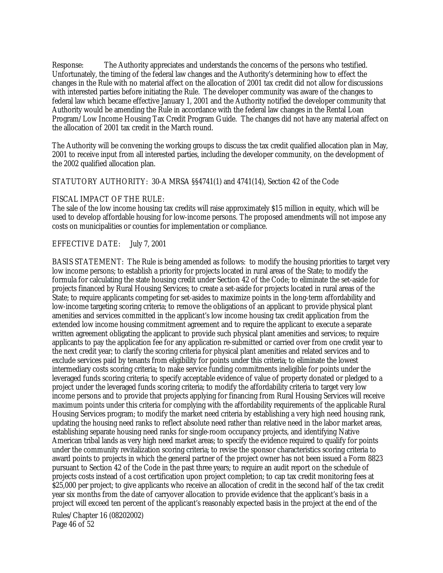Response: The Authority appreciates and understands the concerns of the persons who testified. Unfortunately, the timing of the federal law changes and the Authority's determining how to effect the changes in the Rule with no material affect on the allocation of 2001 tax credit did not allow for discussions with interested parties before initiating the Rule. The developer community was aware of the changes to federal law which became effective January 1, 2001 and the Authority notified the developer community that Authority would be amending the Rule in accordance with the federal law changes in the Rental Loan Program/Low Income Housing Tax Credit Program Guide. The changes did not have any material affect on the allocation of 2001 tax credit in the March round.

The Authority will be convening the working groups to discuss the tax credit qualified allocation plan in May, 2001 to receive input from all interested parties, including the developer community, on the development of the 2002 qualified allocation plan.

#### STATUTORY AUTHORITY: 30-A MRSA §§4741(1) and 4741(14), Section 42 of the Code

#### FISCAL IMPACT OF THE RULE:

The sale of the low income housing tax credits will raise approximately \$15 million in equity, which will be used to develop affordable housing for low-income persons. The proposed amendments will not impose any costs on municipalities or counties for implementation or compliance.

#### EFFECTIVE DATE: July 7, 2001

BASIS STATEMENT: The Rule is being amended as follows: to modify the housing priorities to target very low income persons; to establish a priority for projects located in rural areas of the State; to modify the formula for calculating the state housing credit under Section 42 of the Code; to eliminate the set-aside for projects financed by Rural Housing Services; to create a set-aside for projects located in rural areas of the State; to require applicants competing for set-asides to maximize points in the long-term affordability and low-income targeting scoring criteria; to remove the obligations of an applicant to provide physical plant amenities and services committed in the applicant's low income housing tax credit application from the extended low income housing commitment agreement and to require the applicant to execute a separate written agreement obligating the applicant to provide such physical plant amenities and services; to require applicants to pay the application fee for any application re-submitted or carried over from one credit year to the next credit year; to clarify the scoring criteria for physical plant amenities and related services and to exclude services paid by tenants from eligibility for points under this criteria; to eliminate the lowest intermediary costs scoring criteria; to make service funding commitments ineligible for points under the leveraged funds scoring criteria; to specify acceptable evidence of value of property donated or pledged to a project under the leveraged funds scoring criteria; to modify the affordability criteria to target very low income persons and to provide that projects applying for financing from Rural Housing Services will receive maximum points under this criteria for complying with the affordability requirements of the applicable Rural Housing Services program; to modify the market need criteria by establishing a very high need housing rank, updating the housing need ranks to reflect absolute need rather than relative need in the labor market areas, establishing separate housing need ranks for single-room occupancy projects, and identifying Native American tribal lands as very high need market areas; to specify the evidence required to qualify for points under the community revitalization scoring criteria; to revise the sponsor characteristics scoring criteria to award points to projects in which the general partner of the project owner has not been issued a Form 8823 pursuant to Section 42 of the Code in the past three years; to require an audit report on the schedule of projects costs instead of a cost certification upon project completion; to cap tax credit monitoring fees at \$25,000 per project; to give applicants who receive an allocation of credit in the second half of the tax credit year six months from the date of carryover allocation to provide evidence that the applicant's basis in a project will exceed ten percent of the applicant's reasonably expected basis in the project at the end of the

Rules/Chapter 16 (08202002) Page 46 of 52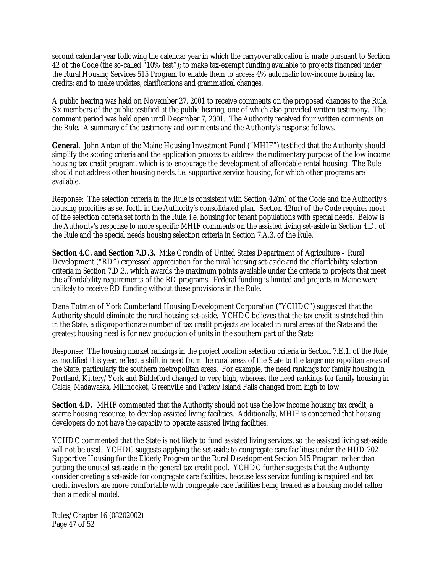second calendar year following the calendar year in which the carryover allocation is made pursuant to Section 42 of the Code (the so-called "10% test"); to make tax-exempt funding available to projects financed under the Rural Housing Services 515 Program to enable them to access 4% automatic low-income housing tax credits; and to make updates, clarifications and grammatical changes.

A public hearing was held on November 27, 2001 to receive comments on the proposed changes to the Rule. Six members of the public testified at the public hearing, one of which also provided written testimony. The comment period was held open until December 7, 2001. The Authority received four written comments on the Rule. A summary of the testimony and comments and the Authority's response follows.

**General**. John Anton of the Maine Housing Investment Fund ("MHIF") testified that the Authority should simplify the scoring criteria and the application process to address the rudimentary purpose of the low income housing tax credit program, which is to encourage the development of affordable rental housing. The Rule should not address other housing needs, i.e. supportive service housing, for which other programs are available.

Response: The selection criteria in the Rule is consistent with Section 42(m) of the Code and the Authority's housing priorities as set forth in the Authority's consolidated plan. Section 42(m) of the Code requires most of the selection criteria set forth in the Rule, i.e. housing for tenant populations with special needs. Below is the Authority's response to more specific MHIF comments on the assisted living set-aside in Section 4.D. of the Rule and the special needs housing selection criteria in Section 7.A.3. of the Rule.

**Section 4.C. and Section 7.D.3.** Mike Grondin of United States Department of Agriculture – Rural Development ("RD") expressed appreciation for the rural housing set-aside and the affordability selection criteria in Section 7.D.3., which awards the maximum points available under the criteria to projects that meet the affordability requirements of the RD programs. Federal funding is limited and projects in Maine were unlikely to receive RD funding without these provisions in the Rule.

Dana Totman of York Cumberland Housing Development Corporation ("YCHDC") suggested that the Authority should eliminate the rural housing set-aside. YCHDC believes that the tax credit is stretched thin in the State, a disproportionate number of tax credit projects are located in rural areas of the State and the greatest housing need is for new production of units in the southern part of the State.

Response: The housing market rankings in the project location selection criteria in Section 7.E.1. of the Rule, as modified this year, reflect a shift in need from the rural areas of the State to the larger metropolitan areas of the State, particularly the southern metropolitan areas. For example, the need rankings for family housing in Portland, Kittery/York and Biddeford changed to very high, whereas, the need rankings for family housing in Calais, Madawaska, Millinocket, Greenville and Patten/Island Falls changed from high to low.

**Section 4.D.** MHIF commented that the Authority should not use the low income housing tax credit, a scarce housing resource, to develop assisted living facilities. Additionally, MHIF is concerned that housing developers do not have the capacity to operate assisted living facilities.

YCHDC commented that the State is not likely to fund assisted living services, so the assisted living set-aside will not be used. YCHDC suggests applying the set-aside to congregate care facilities under the HUD 202 Supportive Housing for the Elderly Program or the Rural Development Section 515 Program rather than putting the unused set-aside in the general tax credit pool. YCHDC further suggests that the Authority consider creating a set-aside for congregate care facilities, because less service funding is required and tax credit investors are more comfortable with congregate care facilities being treated as a housing model rather than a medical model.

Rules/Chapter 16 (08202002) Page 47 of 52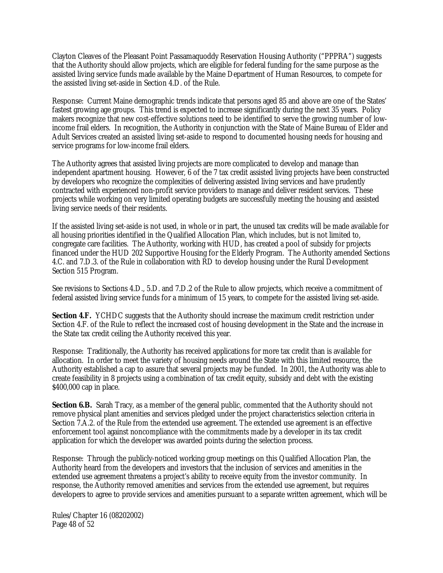Clayton Cleaves of the Pleasant Point Passamaquoddy Reservation Housing Authority ("PPPRA") suggests that the Authority should allow projects, which are eligible for federal funding for the same purpose as the assisted living service funds made available by the Maine Department of Human Resources, to compete for the assisted living set-aside in Section 4.D. of the Rule.

Response: Current Maine demographic trends indicate that persons aged 85 and above are one of the States' fastest growing age groups. This trend is expected to increase significantly during the next 35 years. Policy makers recognize that new cost-effective solutions need to be identified to serve the growing number of lowincome frail elders. In recognition, the Authority in conjunction with the State of Maine Bureau of Elder and Adult Services created an assisted living set-aside to respond to documented housing needs for housing and service programs for low-income frail elders.

The Authority agrees that assisted living projects are more complicated to develop and manage than independent apartment housing. However, 6 of the 7 tax credit assisted living projects have been constructed by developers who recognize the complexities of delivering assisted living services and have prudently contracted with experienced non-profit service providers to manage and deliver resident services. These projects while working on very limited operating budgets are successfully meeting the housing and assisted living service needs of their residents.

If the assisted living set-aside is not used, in whole or in part, the unused tax credits will be made available for all housing priorities identified in the Qualified Allocation Plan, which includes, but is not limited to, congregate care facilities. The Authority, working with HUD, has created a pool of subsidy for projects financed under the HUD 202 Supportive Housing for the Elderly Program. The Authority amended Sections 4.C. and 7.D.3. of the Rule in collaboration with RD to develop housing under the Rural Development Section 515 Program.

See revisions to Sections 4.D., 5.D. and 7.D.2 of the Rule to allow projects, which receive a commitment of federal assisted living service funds for a minimum of 15 years, to compete for the assisted living set-aside.

**Section 4.F.** YCHDC suggests that the Authority should increase the maximum credit restriction under Section 4.F. of the Rule to reflect the increased cost of housing development in the State and the increase in the State tax credit ceiling the Authority received this year.

Response: Traditionally, the Authority has received applications for more tax credit than is available for allocation. In order to meet the variety of housing needs around the State with this limited resource, the Authority established a cap to assure that several projects may be funded. In 2001, the Authority was able to create feasibility in 8 projects using a combination of tax credit equity, subsidy and debt with the existing \$400,000 cap in place.

**Section 6.B.** Sarah Tracy, as a member of the general public, commented that the Authority should not remove physical plant amenities and services pledged under the project characteristics selection criteria in Section 7.A.2. of the Rule from the extended use agreement. The extended use agreement is an effective enforcement tool against noncompliance with the commitments made by a developer in its tax credit application for which the developer was awarded points during the selection process.

Response: Through the publicly-noticed working group meetings on this Qualified Allocation Plan, the Authority heard from the developers and investors that the inclusion of services and amenities in the extended use agreement threatens a project's ability to receive equity from the investor community. In response, the Authority removed amenities and services from the extended use agreement, but requires developers to agree to provide services and amenities pursuant to a separate written agreement, which will be

Rules/Chapter 16 (08202002) Page 48 of 52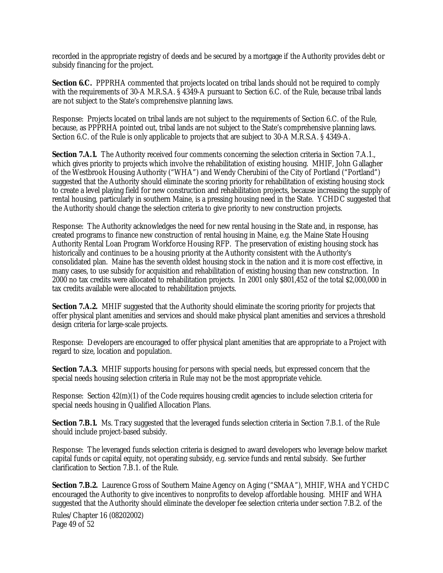recorded in the appropriate registry of deeds and be secured by a mortgage if the Authority provides debt or subsidy financing for the project.

**Section 6.C.** PPPRHA commented that projects located on tribal lands should not be required to comply with the requirements of 30-A M.R.S.A. § 4349-A pursuant to Section 6.C. of the Rule, because tribal lands are not subject to the State's comprehensive planning laws.

Response: Projects located on tribal lands are not subject to the requirements of Section 6.C. of the Rule, because, as PPPRHA pointed out, tribal lands are not subject to the State's comprehensive planning laws. Section 6.C. of the Rule is only applicable to projects that are subject to 30-A M.R.S.A. § 4349-A.

**Section 7.A.1.** The Authority received four comments concerning the selection criteria in Section 7.A.1., which gives priority to projects which involve the rehabilitation of existing housing. MHIF, John Gallagher of the Westbrook Housing Authority ("WHA") and Wendy Cherubini of the City of Portland ("Portland") suggested that the Authority should eliminate the scoring priority for rehabilitation of existing housing stock to create a level playing field for new construction and rehabilitation projects, because increasing the supply of rental housing, particularly in southern Maine, is a pressing housing need in the State. YCHDC suggested that the Authority should change the selection criteria to give priority to new construction projects.

Response: The Authority acknowledges the need for new rental housing in the State and, in response, has created programs to finance new construction of rental housing in Maine, e.g. the Maine State Housing Authority Rental Loan Program Workforce Housing RFP. The preservation of existing housing stock has historically and continues to be a housing priority at the Authority consistent with the Authority's consolidated plan. Maine has the seventh oldest housing stock in the nation and it is more cost effective, in many cases, to use subsidy for acquisition and rehabilitation of existing housing than new construction. In 2000 no tax credits were allocated to rehabilitation projects. In 2001 only \$801,452 of the total \$2,000,000 in tax credits available were allocated to rehabilitation projects.

**Section 7.A.2.** MHIF suggested that the Authority should eliminate the scoring priority for projects that offer physical plant amenities and services and should make physical plant amenities and services a threshold design criteria for large-scale projects.

Response: Developers are encouraged to offer physical plant amenities that are appropriate to a Project with regard to size, location and population.

**Section 7.A.3.** MHIF supports housing for persons with special needs, but expressed concern that the special needs housing selection criteria in Rule may not be the most appropriate vehicle.

Response: Section 42(m)(1) of the Code requires housing credit agencies to include selection criteria for special needs housing in Qualified Allocation Plans.

**Section 7.B.1.** Ms. Tracy suggested that the leveraged funds selection criteria in Section 7.B.1. of the Rule should include project-based subsidy.

Response: The leveraged funds selection criteria is designed to award developers who leverage below market capital funds or capital equity, not operating subsidy, e.g. service funds and rental subsidy. See further clarification to Section 7.B.1. of the Rule.

**Section 7.B.2.** Laurence Gross of Southern Maine Agency on Aging ("SMAA"), MHIF, WHA and YCHDC encouraged the Authority to give incentives to nonprofits to develop affordable housing. MHIF and WHA suggested that the Authority should eliminate the developer fee selection criteria under section 7.B.2. of the

Rules/Chapter 16 (08202002) Page 49 of 52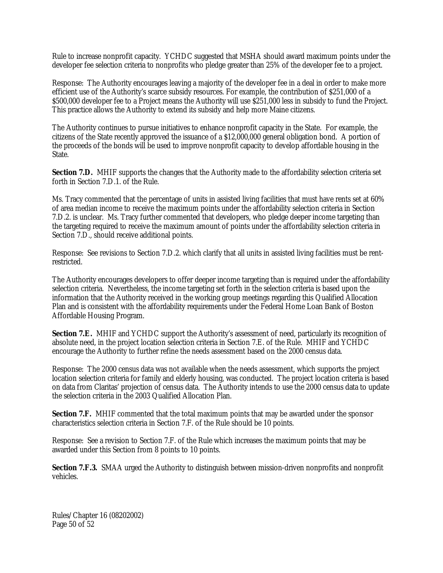Rule to increase nonprofit capacity. YCHDC suggested that MSHA should award maximum points under the developer fee selection criteria to nonprofits who pledge greater than 25% of the developer fee to a project.

Response: The Authority encourages leaving a majority of the developer fee in a deal in order to make more efficient use of the Authority's scarce subsidy resources. For example, the contribution of \$251,000 of a \$500,000 developer fee to a Project means the Authority will use \$251,000 less in subsidy to fund the Project. This practice allows the Authority to extend its subsidy and help more Maine citizens.

The Authority continues to pursue initiatives to enhance nonprofit capacity in the State. For example, the citizens of the State recently approved the issuance of a \$12,000,000 general obligation bond. A portion of the proceeds of the bonds will be used to improve nonprofit capacity to develop affordable housing in the State.

**Section 7.D.** MHIF supports the changes that the Authority made to the affordability selection criteria set forth in Section 7.D.1. of the Rule.

Ms. Tracy commented that the percentage of units in assisted living facilities that must have rents set at 60% of area median income to receive the maximum points under the affordability selection criteria in Section 7.D.2. is unclear. Ms. Tracy further commented that developers, who pledge deeper income targeting than the targeting required to receive the maximum amount of points under the affordability selection criteria in Section 7.D., should receive additional points.

Response: See revisions to Section 7.D.2. which clarify that all units in assisted living facilities must be rentrestricted.

The Authority encourages developers to offer deeper income targeting than is required under the affordability selection criteria. Nevertheless, the income targeting set forth in the selection criteria is based upon the information that the Authority received in the working group meetings regarding this Qualified Allocation Plan and is consistent with the affordability requirements under the Federal Home Loan Bank of Boston Affordable Housing Program.

**Section 7.E.** MHIF and YCHDC support the Authority's assessment of need, particularly its recognition of absolute need, in the project location selection criteria in Section 7.E. of the Rule. MHIF and YCHDC encourage the Authority to further refine the needs assessment based on the 2000 census data.

Response: The 2000 census data was not available when the needs assessment, which supports the project location selection criteria for family and elderly housing, was conducted. The project location criteria is based on data from Claritas' projection of census data. The Authority intends to use the 2000 census data to update the selection criteria in the 2003 Qualified Allocation Plan.

**Section 7.F.** MHIF commented that the total maximum points that may be awarded under the sponsor characteristics selection criteria in Section 7.F. of the Rule should be 10 points.

Response: See a revision to Section 7.F. of the Rule which increases the maximum points that may be awarded under this Section from 8 points to 10 points.

**Section 7.F.3.** SMAA urged the Authority to distinguish between mission-driven nonprofits and nonprofit vehicles.

Rules/Chapter 16 (08202002) Page 50 of 52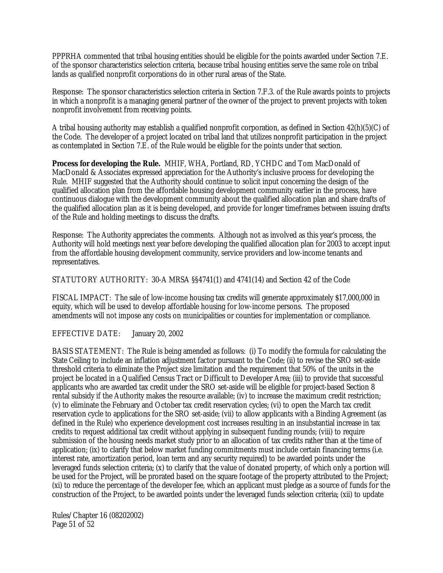PPPRHA commented that tribal housing entities should be eligible for the points awarded under Section 7.E. of the sponsor characteristics selection criteria, because tribal housing entities serve the same role on tribal lands as qualified nonprofit corporations do in other rural areas of the State.

Response: The sponsor characteristics selection criteria in Section 7.F.3. of the Rule awards points to projects in which a nonprofit is a managing general partner of the owner of the project to prevent projects with token nonprofit involvement from receiving points.

A tribal housing authority may establish a qualified nonprofit corporation, as defined in Section 42(h)(5)(C) of the Code. The developer of a project located on tribal land that utilizes nonprofit participation in the project as contemplated in Section 7.E. of the Rule would be eligible for the points under that section.

**Process for developing the Rule.** MHIF, WHA, Portland, RD, YCHDC and Tom MacDonald of MacDonald & Associates expressed appreciation for the Authority's inclusive process for developing the Rule. MHIF suggested that the Authority should continue to solicit input concerning the design of the qualified allocation plan from the affordable housing development community earlier in the process, have continuous dialogue with the development community about the qualified allocation plan and share drafts of the qualified allocation plan as it is being developed, and provide for longer timeframes between issuing drafts of the Rule and holding meetings to discuss the drafts.

Response: The Authority appreciates the comments. Although not as involved as this year's process, the Authority will hold meetings next year before developing the qualified allocation plan for 2003 to accept input from the affordable housing development community, service providers and low-income tenants and representatives.

STATUTORY AUTHORITY: 30-A MRSA §§4741(1) and 4741(14) and Section 42 of the Code

FISCAL IMPACT: The sale of low-income housing tax credits will generate approximately \$17,000,000 in equity, which will be used to develop affordable housing for low-income persons. The proposed amendments will not impose any costs on municipalities or counties for implementation or compliance.

EFFECTIVE DATE: January 20, 2002

BASIS STATEMENT: The Rule is being amended as follows: (i) To modify the formula for calculating the State Ceiling to include an inflation adjustment factor pursuant to the Code; (ii) to revise the SRO set-aside threshold criteria to eliminate the Project size limitation and the requirement that 50% of the units in the project be located in a Qualified Census Tract or Difficult to Developer Area; (iii) to provide that successful applicants who are awarded tax credit under the SRO set-aside will be eligible for project-based Section 8 rental subsidy if the Authority makes the resource available; (iv) to increase the maximum credit restriction; (v) to eliminate the February and October tax credit reservation cycles; (vi) to open the March tax credit reservation cycle to applications for the SRO set-aside; (vii) to allow applicants with a Binding Agreement (as defined in the Rule) who experience development cost increases resulting in an insubstantial increase in tax credits to request additional tax credit without applying in subsequent funding rounds; (viii) to require submission of the housing needs market study prior to an allocation of tax credits rather than at the time of application; (ix) to clarify that below market funding commitments must include certain financing terms (i.e. interest rate, amortization period, loan term and any security required) to be awarded points under the leveraged funds selection criteria; (x) to clarify that the value of donated property, of which only a portion will be used for the Project, will be prorated based on the square footage of the property attributed to the Project; (xi) to reduce the percentage of the developer fee, which an applicant must pledge as a source of funds for the construction of the Project, to be awarded points under the leveraged funds selection criteria; (xii) to update

Rules/Chapter 16 (08202002) Page 51 of 52